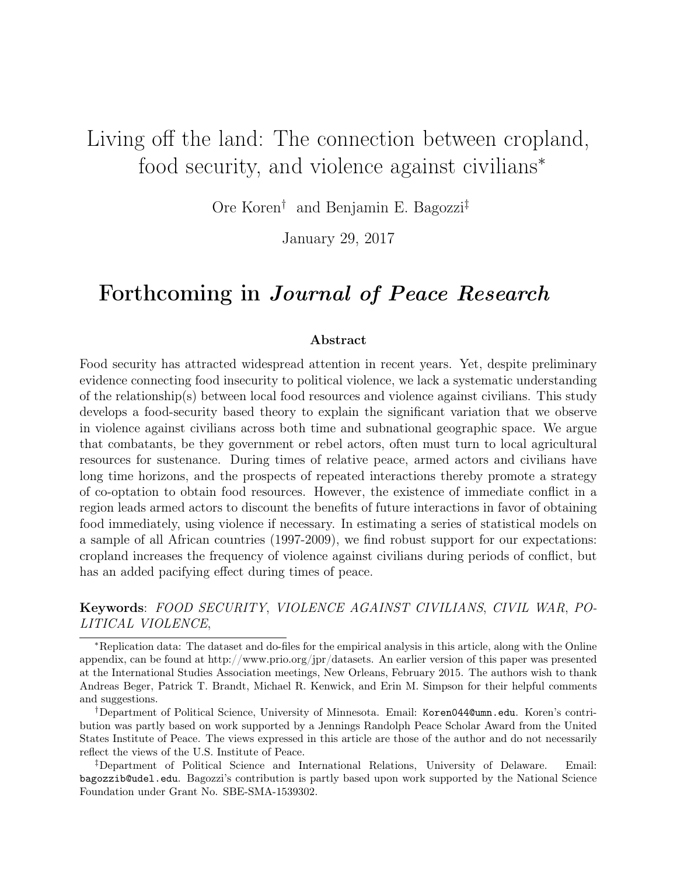# Living off the land: The connection between cropland, food security, and violence against civilians<sup>∗</sup>

Ore Koren† and Benjamin E. Bagozzi‡

January 29, 2017

## Forthcoming in Journal of Peace Research

#### Abstract

Food security has attracted widespread attention in recent years. Yet, despite preliminary evidence connecting food insecurity to political violence, we lack a systematic understanding of the relationship(s) between local food resources and violence against civilians. This study develops a food-security based theory to explain the significant variation that we observe in violence against civilians across both time and subnational geographic space. We argue that combatants, be they government or rebel actors, often must turn to local agricultural resources for sustenance. During times of relative peace, armed actors and civilians have long time horizons, and the prospects of repeated interactions thereby promote a strategy of co-optation to obtain food resources. However, the existence of immediate conflict in a region leads armed actors to discount the benefits of future interactions in favor of obtaining food immediately, using violence if necessary. In estimating a series of statistical models on a sample of all African countries (1997-2009), we find robust support for our expectations: cropland increases the frequency of violence against civilians during periods of conflict, but has an added pacifying effect during times of peace.

## Keywords: FOOD SECURITY, VIOLENCE AGAINST CIVILIANS, CIVIL WAR, PO-LITICAL VIOLENCE,

‡Department of Political Science and International Relations, University of Delaware. Email: bagozzib@udel.edu. Bagozzi's contribution is partly based upon work supported by the National Science Foundation under Grant No. SBE-SMA-1539302.

<sup>∗</sup>Replication data: The dataset and do-files for the empirical analysis in this article, along with the Online appendix, can be found at http://www.prio.org/jpr/datasets. An earlier version of this paper was presented at the International Studies Association meetings, New Orleans, February 2015. The authors wish to thank Andreas Beger, Patrick T. Brandt, Michael R. Kenwick, and Erin M. Simpson for their helpful comments and suggestions.

<sup>†</sup>Department of Political Science, University of Minnesota. Email: Koren044@umn.edu. Koren's contribution was partly based on work supported by a Jennings Randolph Peace Scholar Award from the United States Institute of Peace. The views expressed in this article are those of the author and do not necessarily reflect the views of the U.S. Institute of Peace.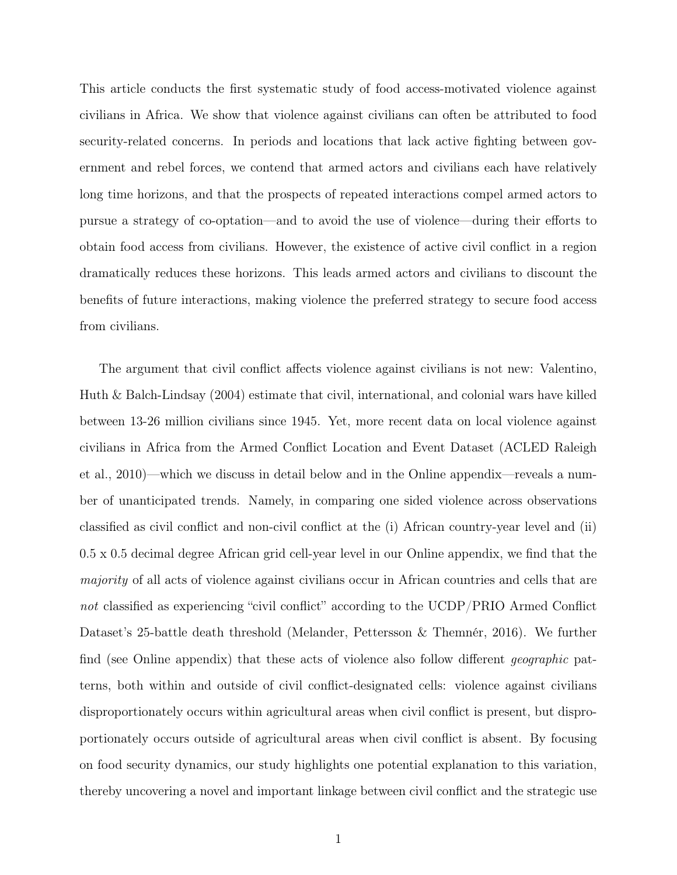This article conducts the first systematic study of food access-motivated violence against civilians in Africa. We show that violence against civilians can often be attributed to food security-related concerns. In periods and locations that lack active fighting between government and rebel forces, we contend that armed actors and civilians each have relatively long time horizons, and that the prospects of repeated interactions compel armed actors to pursue a strategy of co-optation—and to avoid the use of violence—during their efforts to obtain food access from civilians. However, the existence of active civil conflict in a region dramatically reduces these horizons. This leads armed actors and civilians to discount the benefits of future interactions, making violence the preferred strategy to secure food access from civilians.

The argument that civil conflict affects violence against civilians is not new: Valentino, Huth & Balch-Lindsay (2004) estimate that civil, international, and colonial wars have killed between 13-26 million civilians since 1945. Yet, more recent data on local violence against civilians in Africa from the Armed Conflict Location and Event Dataset (ACLED Raleigh et al., 2010)—which we discuss in detail below and in the Online appendix—reveals a number of unanticipated trends. Namely, in comparing one sided violence across observations classified as civil conflict and non-civil conflict at the (i) African country-year level and (ii) 0.5 x 0.5 decimal degree African grid cell-year level in our Online appendix, we find that the majority of all acts of violence against civilians occur in African countries and cells that are not classified as experiencing "civil conflict" according to the UCDP/PRIO Armed Conflict Dataset's 25-battle death threshold (Melander, Pettersson & Themnér, 2016). We further find (see Online appendix) that these acts of violence also follow different *geographic* patterns, both within and outside of civil conflict-designated cells: violence against civilians disproportionately occurs within agricultural areas when civil conflict is present, but disproportionately occurs outside of agricultural areas when civil conflict is absent. By focusing on food security dynamics, our study highlights one potential explanation to this variation, thereby uncovering a novel and important linkage between civil conflict and the strategic use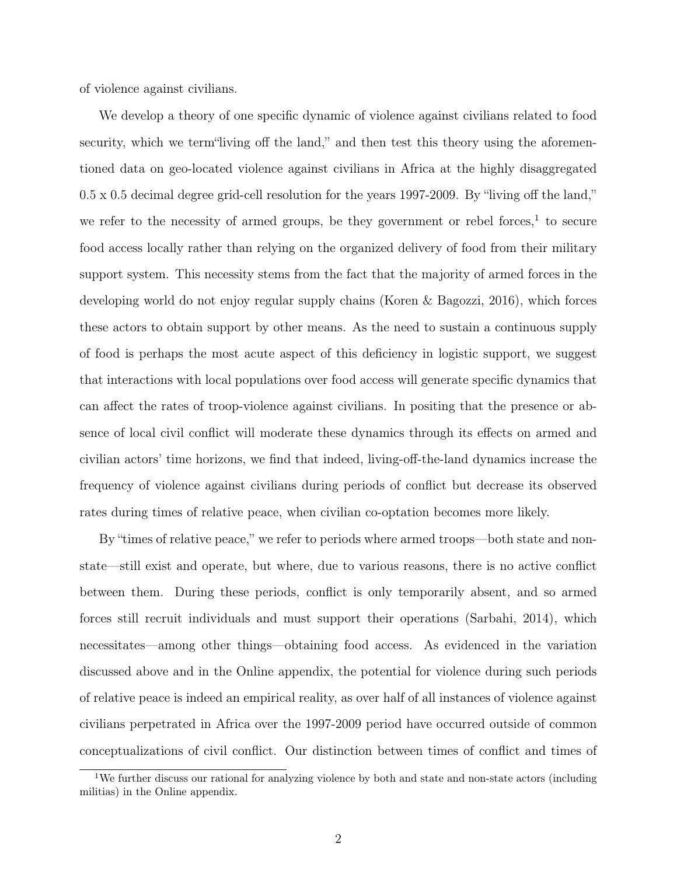of violence against civilians.

We develop a theory of one specific dynamic of violence against civilians related to food security, which we term"living off the land," and then test this theory using the aforementioned data on geo-located violence against civilians in Africa at the highly disaggregated 0.5 x 0.5 decimal degree grid-cell resolution for the years 1997-2009. By "living off the land," we refer to the necessity of armed groups, be they government or rebel forces,<sup>1</sup> to secure food access locally rather than relying on the organized delivery of food from their military support system. This necessity stems from the fact that the majority of armed forces in the developing world do not enjoy regular supply chains (Koren & Bagozzi, 2016), which forces these actors to obtain support by other means. As the need to sustain a continuous supply of food is perhaps the most acute aspect of this deficiency in logistic support, we suggest that interactions with local populations over food access will generate specific dynamics that can affect the rates of troop-violence against civilians. In positing that the presence or absence of local civil conflict will moderate these dynamics through its effects on armed and civilian actors' time horizons, we find that indeed, living-off-the-land dynamics increase the frequency of violence against civilians during periods of conflict but decrease its observed rates during times of relative peace, when civilian co-optation becomes more likely.

By "times of relative peace," we refer to periods where armed troops—both state and nonstate—still exist and operate, but where, due to various reasons, there is no active conflict between them. During these periods, conflict is only temporarily absent, and so armed forces still recruit individuals and must support their operations (Sarbahi, 2014), which necessitates—among other things—obtaining food access. As evidenced in the variation discussed above and in the Online appendix, the potential for violence during such periods of relative peace is indeed an empirical reality, as over half of all instances of violence against civilians perpetrated in Africa over the 1997-2009 period have occurred outside of common conceptualizations of civil conflict. Our distinction between times of conflict and times of

<sup>&</sup>lt;sup>1</sup>We further discuss our rational for analyzing violence by both and state and non-state actors (including militias) in the Online appendix.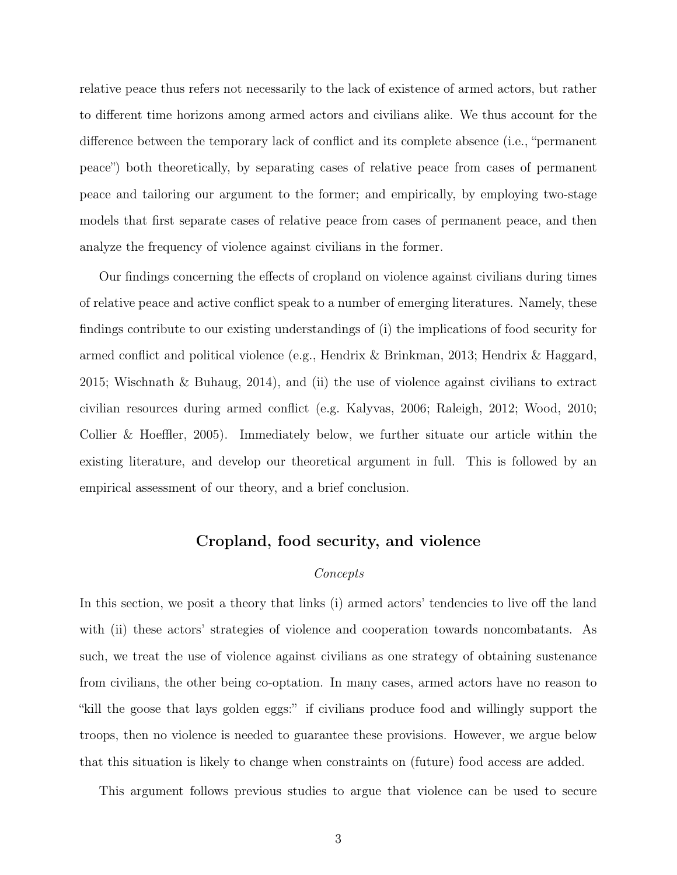relative peace thus refers not necessarily to the lack of existence of armed actors, but rather to different time horizons among armed actors and civilians alike. We thus account for the difference between the temporary lack of conflict and its complete absence (i.e., "permanent peace") both theoretically, by separating cases of relative peace from cases of permanent peace and tailoring our argument to the former; and empirically, by employing two-stage models that first separate cases of relative peace from cases of permanent peace, and then analyze the frequency of violence against civilians in the former.

Our findings concerning the effects of cropland on violence against civilians during times of relative peace and active conflict speak to a number of emerging literatures. Namely, these findings contribute to our existing understandings of (i) the implications of food security for armed conflict and political violence (e.g., Hendrix & Brinkman, 2013; Hendrix & Haggard, 2015; Wischnath & Buhaug, 2014), and (ii) the use of violence against civilians to extract civilian resources during armed conflict (e.g. Kalyvas, 2006; Raleigh, 2012; Wood, 2010; Collier & Hoeffler, 2005). Immediately below, we further situate our article within the existing literature, and develop our theoretical argument in full. This is followed by an empirical assessment of our theory, and a brief conclusion.

## Cropland, food security, and violence

#### Concepts

In this section, we posit a theory that links (i) armed actors' tendencies to live off the land with (ii) these actors' strategies of violence and cooperation towards noncombatants. As such, we treat the use of violence against civilians as one strategy of obtaining sustenance from civilians, the other being co-optation. In many cases, armed actors have no reason to "kill the goose that lays golden eggs:" if civilians produce food and willingly support the troops, then no violence is needed to guarantee these provisions. However, we argue below that this situation is likely to change when constraints on (future) food access are added.

This argument follows previous studies to argue that violence can be used to secure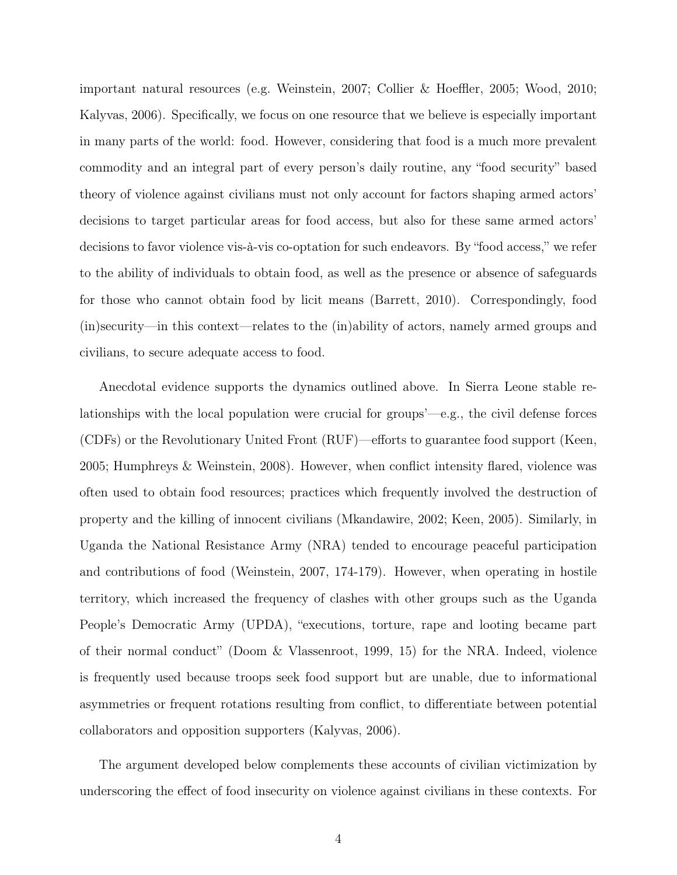important natural resources (e.g. Weinstein, 2007; Collier & Hoeffler, 2005; Wood, 2010; Kalyvas, 2006). Specifically, we focus on one resource that we believe is especially important in many parts of the world: food. However, considering that food is a much more prevalent commodity and an integral part of every person's daily routine, any "food security" based theory of violence against civilians must not only account for factors shaping armed actors' decisions to target particular areas for food access, but also for these same armed actors' decisions to favor violence vis-à-vis co-optation for such endeavors. By "food access," we refer to the ability of individuals to obtain food, as well as the presence or absence of safeguards for those who cannot obtain food by licit means (Barrett, 2010). Correspondingly, food (in)security—in this context—relates to the (in)ability of actors, namely armed groups and civilians, to secure adequate access to food.

Anecdotal evidence supports the dynamics outlined above. In Sierra Leone stable relationships with the local population were crucial for groups'—e.g., the civil defense forces (CDFs) or the Revolutionary United Front (RUF)—efforts to guarantee food support (Keen, 2005; Humphreys & Weinstein, 2008). However, when conflict intensity flared, violence was often used to obtain food resources; practices which frequently involved the destruction of property and the killing of innocent civilians (Mkandawire, 2002; Keen, 2005). Similarly, in Uganda the National Resistance Army (NRA) tended to encourage peaceful participation and contributions of food (Weinstein, 2007, 174-179). However, when operating in hostile territory, which increased the frequency of clashes with other groups such as the Uganda People's Democratic Army (UPDA), "executions, torture, rape and looting became part of their normal conduct" (Doom & Vlassenroot, 1999, 15) for the NRA. Indeed, violence is frequently used because troops seek food support but are unable, due to informational asymmetries or frequent rotations resulting from conflict, to differentiate between potential collaborators and opposition supporters (Kalyvas, 2006).

The argument developed below complements these accounts of civilian victimization by underscoring the effect of food insecurity on violence against civilians in these contexts. For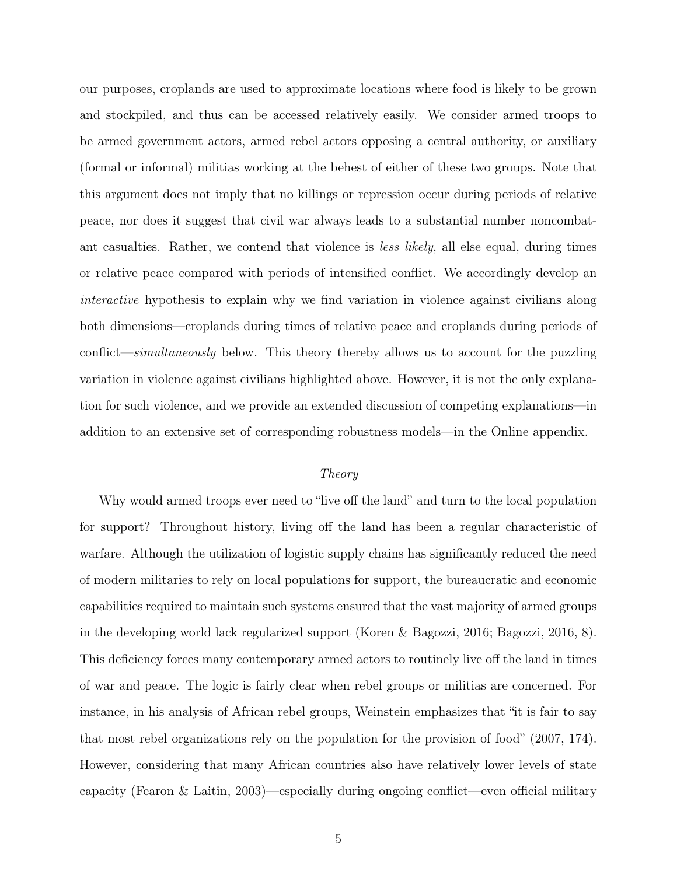our purposes, croplands are used to approximate locations where food is likely to be grown and stockpiled, and thus can be accessed relatively easily. We consider armed troops to be armed government actors, armed rebel actors opposing a central authority, or auxiliary (formal or informal) militias working at the behest of either of these two groups. Note that this argument does not imply that no killings or repression occur during periods of relative peace, nor does it suggest that civil war always leads to a substantial number noncombatant casualties. Rather, we contend that violence is *less likely*, all else equal, during times or relative peace compared with periods of intensified conflict. We accordingly develop an interactive hypothesis to explain why we find variation in violence against civilians along both dimensions—croplands during times of relative peace and croplands during periods of conflict—simultaneously below. This theory thereby allows us to account for the puzzling variation in violence against civilians highlighted above. However, it is not the only explanation for such violence, and we provide an extended discussion of competing explanations—in addition to an extensive set of corresponding robustness models—in the Online appendix.

#### Theory

Why would armed troops ever need to "live off the land" and turn to the local population for support? Throughout history, living off the land has been a regular characteristic of warfare. Although the utilization of logistic supply chains has significantly reduced the need of modern militaries to rely on local populations for support, the bureaucratic and economic capabilities required to maintain such systems ensured that the vast majority of armed groups in the developing world lack regularized support (Koren & Bagozzi, 2016; Bagozzi, 2016, 8). This deficiency forces many contemporary armed actors to routinely live off the land in times of war and peace. The logic is fairly clear when rebel groups or militias are concerned. For instance, in his analysis of African rebel groups, Weinstein emphasizes that "it is fair to say that most rebel organizations rely on the population for the provision of food" (2007, 174). However, considering that many African countries also have relatively lower levels of state capacity (Fearon & Laitin, 2003)—especially during ongoing conflict—even official military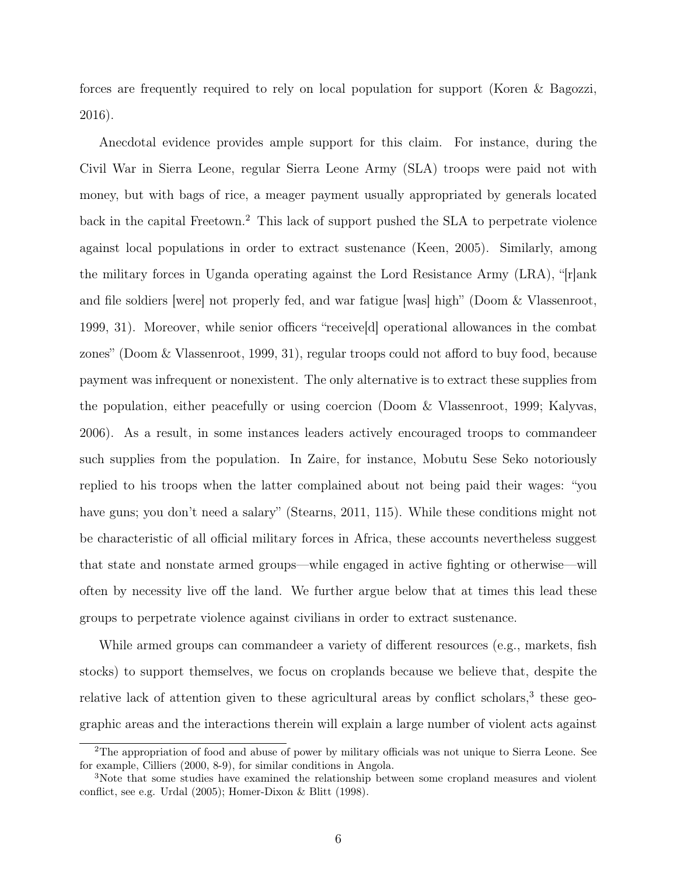forces are frequently required to rely on local population for support (Koren & Bagozzi, 2016).

Anecdotal evidence provides ample support for this claim. For instance, during the Civil War in Sierra Leone, regular Sierra Leone Army (SLA) troops were paid not with money, but with bags of rice, a meager payment usually appropriated by generals located back in the capital Freetown.<sup>2</sup> This lack of support pushed the SLA to perpetrate violence against local populations in order to extract sustenance (Keen, 2005). Similarly, among the military forces in Uganda operating against the Lord Resistance Army (LRA), "[r]ank and file soldiers [were] not properly fed, and war fatigue [was] high" (Doom & Vlassenroot, 1999, 31). Moreover, while senior officers "receive[d] operational allowances in the combat zones" (Doom & Vlassenroot, 1999, 31), regular troops could not afford to buy food, because payment was infrequent or nonexistent. The only alternative is to extract these supplies from the population, either peacefully or using coercion (Doom & Vlassenroot, 1999; Kalyvas, 2006). As a result, in some instances leaders actively encouraged troops to commandeer such supplies from the population. In Zaire, for instance, Mobutu Sese Seko notoriously replied to his troops when the latter complained about not being paid their wages: "you have guns; you don't need a salary" (Stearns, 2011, 115). While these conditions might not be characteristic of all official military forces in Africa, these accounts nevertheless suggest that state and nonstate armed groups—while engaged in active fighting or otherwise—will often by necessity live off the land. We further argue below that at times this lead these groups to perpetrate violence against civilians in order to extract sustenance.

While armed groups can commandeer a variety of different resources (e.g., markets, fish stocks) to support themselves, we focus on croplands because we believe that, despite the relative lack of attention given to these agricultural areas by conflict scholars,<sup>3</sup> these geographic areas and the interactions therein will explain a large number of violent acts against

<sup>2</sup>The appropriation of food and abuse of power by military officials was not unique to Sierra Leone. See for example, Cilliers (2000, 8-9), for similar conditions in Angola.

<sup>3</sup>Note that some studies have examined the relationship between some cropland measures and violent conflict, see e.g. Urdal (2005); Homer-Dixon & Blitt (1998).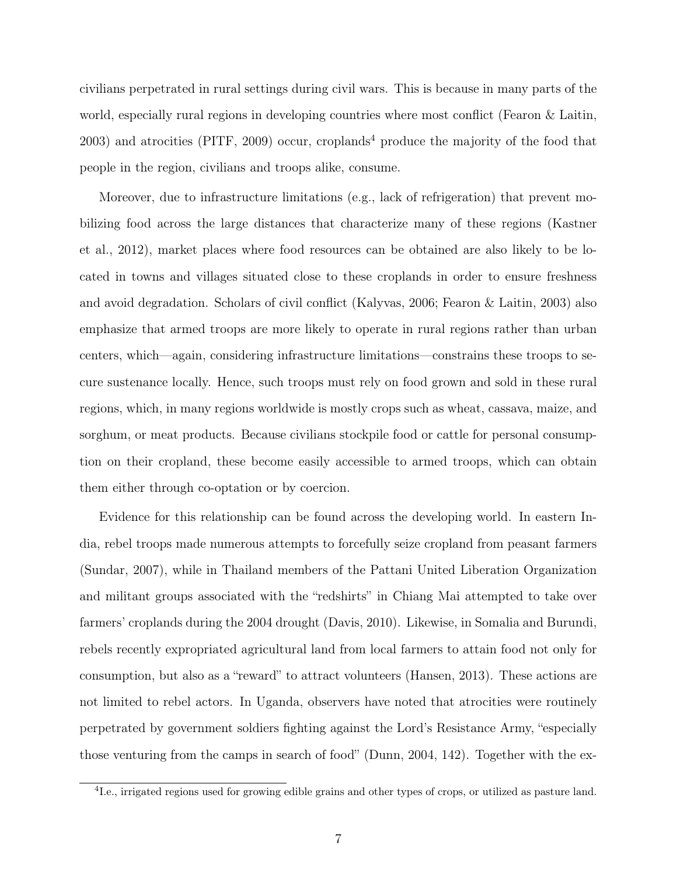civilians perpetrated in rural settings during civil wars. This is because in many parts of the world, especially rural regions in developing countries where most conflict (Fearon & Laitin,  $2003$ ) and atrocities (PITF, 2009) occur, croplands<sup>4</sup> produce the majority of the food that people in the region, civilians and troops alike, consume.

Moreover, due to infrastructure limitations (e.g., lack of refrigeration) that prevent mobilizing food across the large distances that characterize many of these regions (Kastner et al., 2012), market places where food resources can be obtained are also likely to be located in towns and villages situated close to these croplands in order to ensure freshness and avoid degradation. Scholars of civil conflict (Kalyvas, 2006; Fearon & Laitin, 2003) also emphasize that armed troops are more likely to operate in rural regions rather than urban centers, which—again, considering infrastructure limitations—constrains these troops to secure sustenance locally. Hence, such troops must rely on food grown and sold in these rural regions, which, in many regions worldwide is mostly crops such as wheat, cassava, maize, and sorghum, or meat products. Because civilians stockpile food or cattle for personal consumption on their cropland, these become easily accessible to armed troops, which can obtain them either through co-optation or by coercion.

Evidence for this relationship can be found across the developing world. In eastern India, rebel troops made numerous attempts to forcefully seize cropland from peasant farmers (Sundar, 2007), while in Thailand members of the Pattani United Liberation Organization and militant groups associated with the "redshirts" in Chiang Mai attempted to take over farmers' croplands during the 2004 drought (Davis, 2010). Likewise, in Somalia and Burundi, rebels recently expropriated agricultural land from local farmers to attain food not only for consumption, but also as a "reward" to attract volunteers (Hansen, 2013). These actions are not limited to rebel actors. In Uganda, observers have noted that atrocities were routinely perpetrated by government soldiers fighting against the Lord's Resistance Army, "especially those venturing from the camps in search of food" (Dunn, 2004, 142). Together with the ex-

<sup>&</sup>lt;sup>4</sup>I.e., irrigated regions used for growing edible grains and other types of crops, or utilized as pasture land.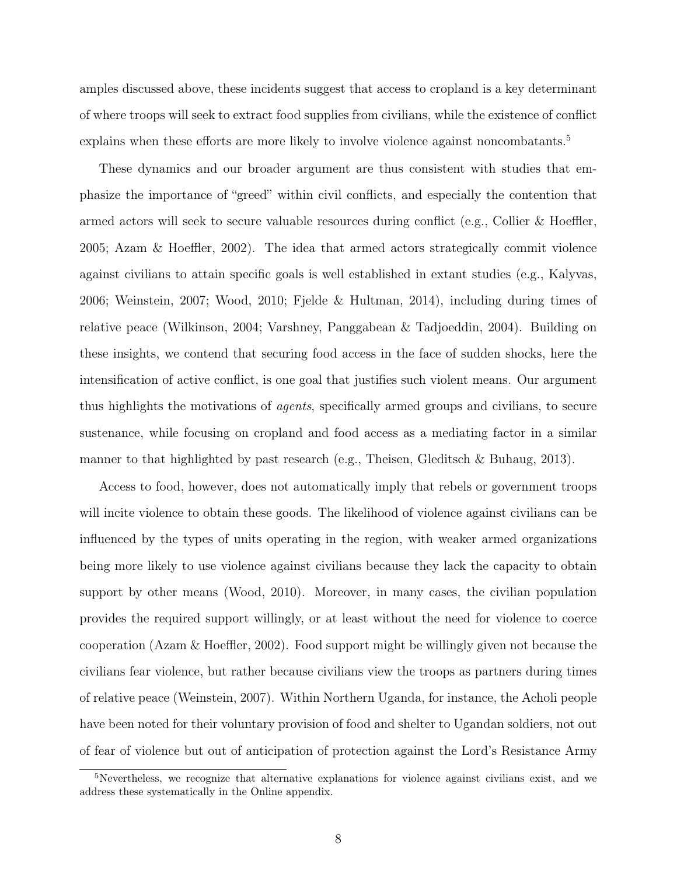amples discussed above, these incidents suggest that access to cropland is a key determinant of where troops will seek to extract food supplies from civilians, while the existence of conflict explains when these efforts are more likely to involve violence against noncombatants.<sup>5</sup>

These dynamics and our broader argument are thus consistent with studies that emphasize the importance of "greed" within civil conflicts, and especially the contention that armed actors will seek to secure valuable resources during conflict (e.g., Collier & Hoeffler, 2005; Azam & Hoeffler, 2002). The idea that armed actors strategically commit violence against civilians to attain specific goals is well established in extant studies (e.g., Kalyvas, 2006; Weinstein, 2007; Wood, 2010; Fjelde & Hultman, 2014), including during times of relative peace (Wilkinson, 2004; Varshney, Panggabean & Tadjoeddin, 2004). Building on these insights, we contend that securing food access in the face of sudden shocks, here the intensification of active conflict, is one goal that justifies such violent means. Our argument thus highlights the motivations of agents, specifically armed groups and civilians, to secure sustenance, while focusing on cropland and food access as a mediating factor in a similar manner to that highlighted by past research (e.g., Theisen, Gleditsch & Buhaug, 2013).

Access to food, however, does not automatically imply that rebels or government troops will incite violence to obtain these goods. The likelihood of violence against civilians can be influenced by the types of units operating in the region, with weaker armed organizations being more likely to use violence against civilians because they lack the capacity to obtain support by other means (Wood, 2010). Moreover, in many cases, the civilian population provides the required support willingly, or at least without the need for violence to coerce cooperation (Azam & Hoeffler, 2002). Food support might be willingly given not because the civilians fear violence, but rather because civilians view the troops as partners during times of relative peace (Weinstein, 2007). Within Northern Uganda, for instance, the Acholi people have been noted for their voluntary provision of food and shelter to Ugandan soldiers, not out of fear of violence but out of anticipation of protection against the Lord's Resistance Army

<sup>5</sup>Nevertheless, we recognize that alternative explanations for violence against civilians exist, and we address these systematically in the Online appendix.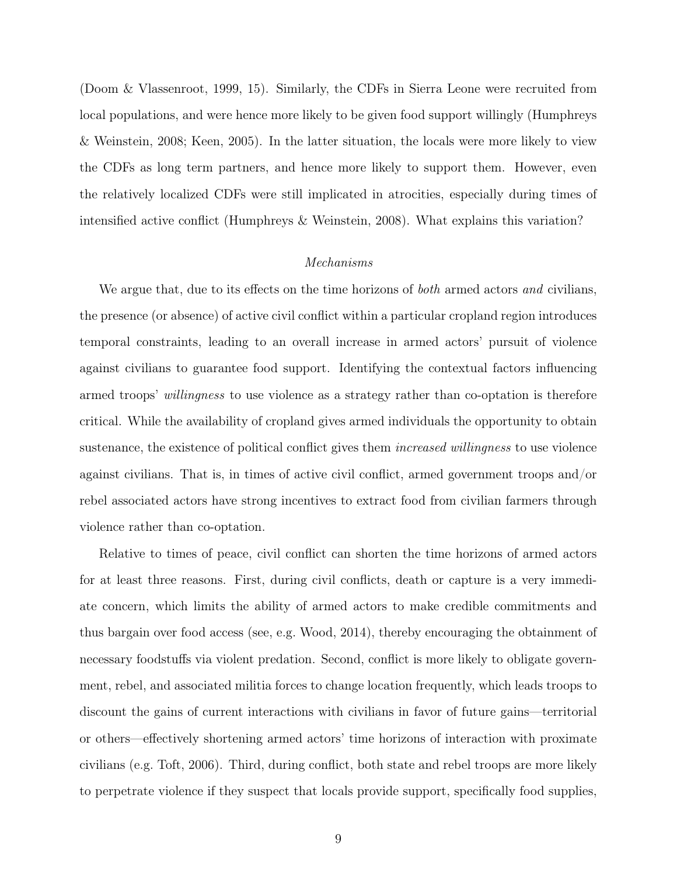(Doom & Vlassenroot, 1999, 15). Similarly, the CDFs in Sierra Leone were recruited from local populations, and were hence more likely to be given food support willingly (Humphreys & Weinstein, 2008; Keen, 2005). In the latter situation, the locals were more likely to view the CDFs as long term partners, and hence more likely to support them. However, even the relatively localized CDFs were still implicated in atrocities, especially during times of intensified active conflict (Humphreys & Weinstein, 2008). What explains this variation?

### Mechanisms

We argue that, due to its effects on the time horizons of *both* armed actors and civilians, the presence (or absence) of active civil conflict within a particular cropland region introduces temporal constraints, leading to an overall increase in armed actors' pursuit of violence against civilians to guarantee food support. Identifying the contextual factors influencing armed troops' willingness to use violence as a strategy rather than co-optation is therefore critical. While the availability of cropland gives armed individuals the opportunity to obtain sustenance, the existence of political conflict gives them *increased willingness* to use violence against civilians. That is, in times of active civil conflict, armed government troops and/or rebel associated actors have strong incentives to extract food from civilian farmers through violence rather than co-optation.

Relative to times of peace, civil conflict can shorten the time horizons of armed actors for at least three reasons. First, during civil conflicts, death or capture is a very immediate concern, which limits the ability of armed actors to make credible commitments and thus bargain over food access (see, e.g. Wood, 2014), thereby encouraging the obtainment of necessary foodstuffs via violent predation. Second, conflict is more likely to obligate government, rebel, and associated militia forces to change location frequently, which leads troops to discount the gains of current interactions with civilians in favor of future gains—territorial or others—effectively shortening armed actors' time horizons of interaction with proximate civilians (e.g. Toft, 2006). Third, during conflict, both state and rebel troops are more likely to perpetrate violence if they suspect that locals provide support, specifically food supplies,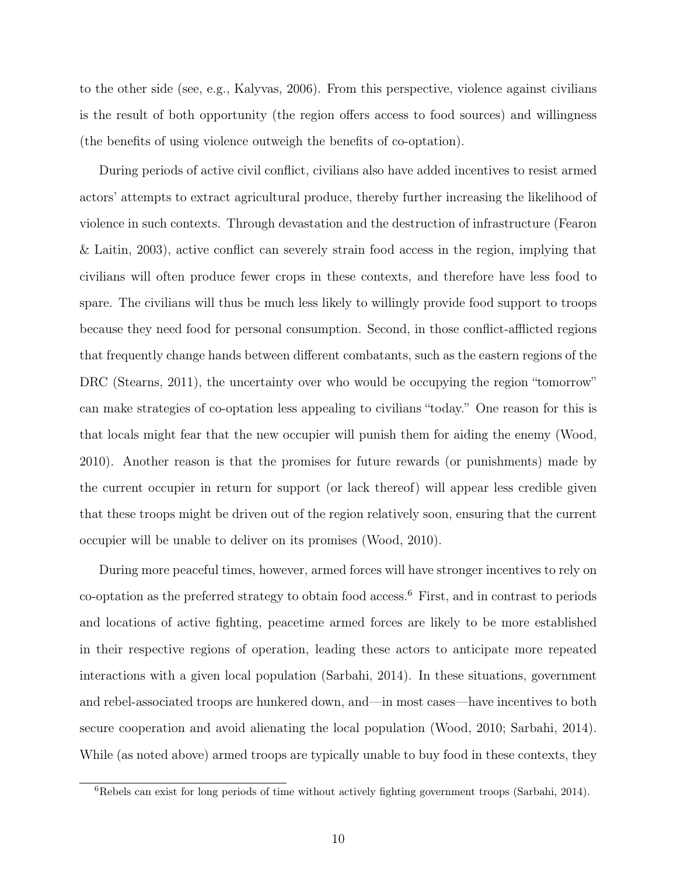to the other side (see, e.g., Kalyvas, 2006). From this perspective, violence against civilians is the result of both opportunity (the region offers access to food sources) and willingness (the benefits of using violence outweigh the benefits of co-optation).

During periods of active civil conflict, civilians also have added incentives to resist armed actors' attempts to extract agricultural produce, thereby further increasing the likelihood of violence in such contexts. Through devastation and the destruction of infrastructure (Fearon & Laitin, 2003), active conflict can severely strain food access in the region, implying that civilians will often produce fewer crops in these contexts, and therefore have less food to spare. The civilians will thus be much less likely to willingly provide food support to troops because they need food for personal consumption. Second, in those conflict-afflicted regions that frequently change hands between different combatants, such as the eastern regions of the DRC (Stearns, 2011), the uncertainty over who would be occupying the region "tomorrow" can make strategies of co-optation less appealing to civilians "today." One reason for this is that locals might fear that the new occupier will punish them for aiding the enemy (Wood, 2010). Another reason is that the promises for future rewards (or punishments) made by the current occupier in return for support (or lack thereof) will appear less credible given that these troops might be driven out of the region relatively soon, ensuring that the current occupier will be unable to deliver on its promises (Wood, 2010).

During more peaceful times, however, armed forces will have stronger incentives to rely on co-optation as the preferred strategy to obtain food access.<sup>6</sup> First, and in contrast to periods and locations of active fighting, peacetime armed forces are likely to be more established in their respective regions of operation, leading these actors to anticipate more repeated interactions with a given local population (Sarbahi, 2014). In these situations, government and rebel-associated troops are hunkered down, and—in most cases—have incentives to both secure cooperation and avoid alienating the local population (Wood, 2010; Sarbahi, 2014). While (as noted above) armed troops are typically unable to buy food in these contexts, they

 ${}^{6}$ Rebels can exist for long periods of time without actively fighting government troops (Sarbahi, 2014).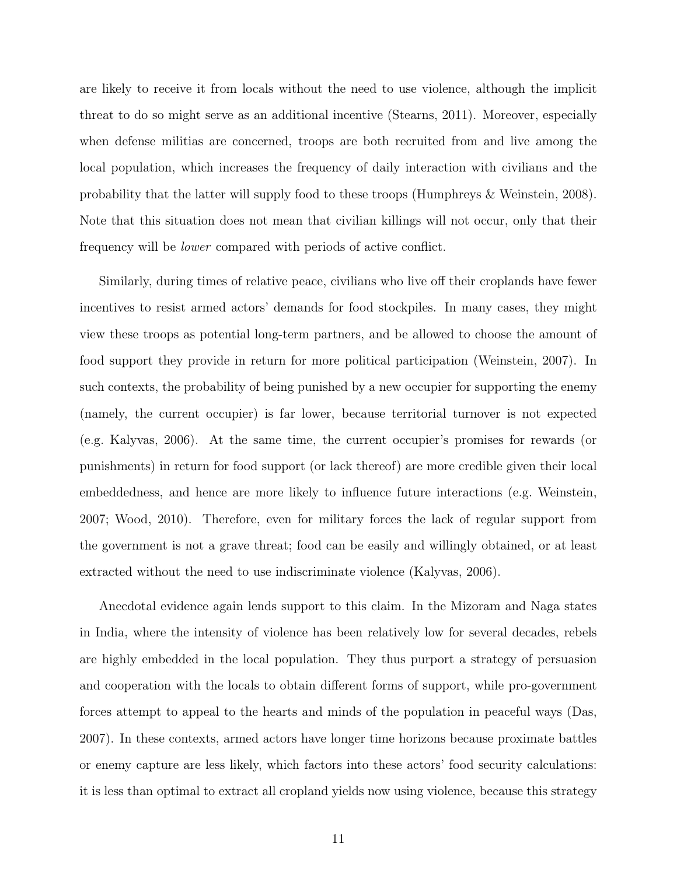are likely to receive it from locals without the need to use violence, although the implicit threat to do so might serve as an additional incentive (Stearns, 2011). Moreover, especially when defense militias are concerned, troops are both recruited from and live among the local population, which increases the frequency of daily interaction with civilians and the probability that the latter will supply food to these troops (Humphreys & Weinstein, 2008). Note that this situation does not mean that civilian killings will not occur, only that their frequency will be lower compared with periods of active conflict.

Similarly, during times of relative peace, civilians who live off their croplands have fewer incentives to resist armed actors' demands for food stockpiles. In many cases, they might view these troops as potential long-term partners, and be allowed to choose the amount of food support they provide in return for more political participation (Weinstein, 2007). In such contexts, the probability of being punished by a new occupier for supporting the enemy (namely, the current occupier) is far lower, because territorial turnover is not expected (e.g. Kalyvas, 2006). At the same time, the current occupier's promises for rewards (or punishments) in return for food support (or lack thereof) are more credible given their local embeddedness, and hence are more likely to influence future interactions (e.g. Weinstein, 2007; Wood, 2010). Therefore, even for military forces the lack of regular support from the government is not a grave threat; food can be easily and willingly obtained, or at least extracted without the need to use indiscriminate violence (Kalyvas, 2006).

Anecdotal evidence again lends support to this claim. In the Mizoram and Naga states in India, where the intensity of violence has been relatively low for several decades, rebels are highly embedded in the local population. They thus purport a strategy of persuasion and cooperation with the locals to obtain different forms of support, while pro-government forces attempt to appeal to the hearts and minds of the population in peaceful ways (Das, 2007). In these contexts, armed actors have longer time horizons because proximate battles or enemy capture are less likely, which factors into these actors' food security calculations: it is less than optimal to extract all cropland yields now using violence, because this strategy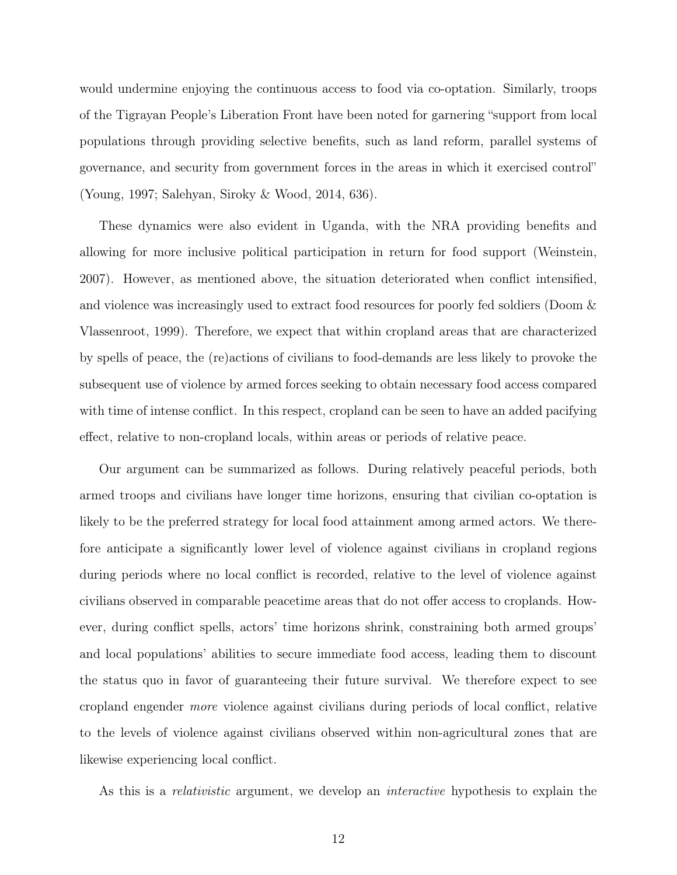would undermine enjoying the continuous access to food via co-optation. Similarly, troops of the Tigrayan People's Liberation Front have been noted for garnering "support from local populations through providing selective benefits, such as land reform, parallel systems of governance, and security from government forces in the areas in which it exercised control" (Young, 1997; Salehyan, Siroky & Wood, 2014, 636).

These dynamics were also evident in Uganda, with the NRA providing benefits and allowing for more inclusive political participation in return for food support (Weinstein, 2007). However, as mentioned above, the situation deteriorated when conflict intensified, and violence was increasingly used to extract food resources for poorly fed soldiers (Doom & Vlassenroot, 1999). Therefore, we expect that within cropland areas that are characterized by spells of peace, the (re)actions of civilians to food-demands are less likely to provoke the subsequent use of violence by armed forces seeking to obtain necessary food access compared with time of intense conflict. In this respect, cropland can be seen to have an added pacifying effect, relative to non-cropland locals, within areas or periods of relative peace.

Our argument can be summarized as follows. During relatively peaceful periods, both armed troops and civilians have longer time horizons, ensuring that civilian co-optation is likely to be the preferred strategy for local food attainment among armed actors. We therefore anticipate a significantly lower level of violence against civilians in cropland regions during periods where no local conflict is recorded, relative to the level of violence against civilians observed in comparable peacetime areas that do not offer access to croplands. However, during conflict spells, actors' time horizons shrink, constraining both armed groups' and local populations' abilities to secure immediate food access, leading them to discount the status quo in favor of guaranteeing their future survival. We therefore expect to see cropland engender more violence against civilians during periods of local conflict, relative to the levels of violence against civilians observed within non-agricultural zones that are likewise experiencing local conflict.

As this is a *relativistic* argument, we develop an *interactive* hypothesis to explain the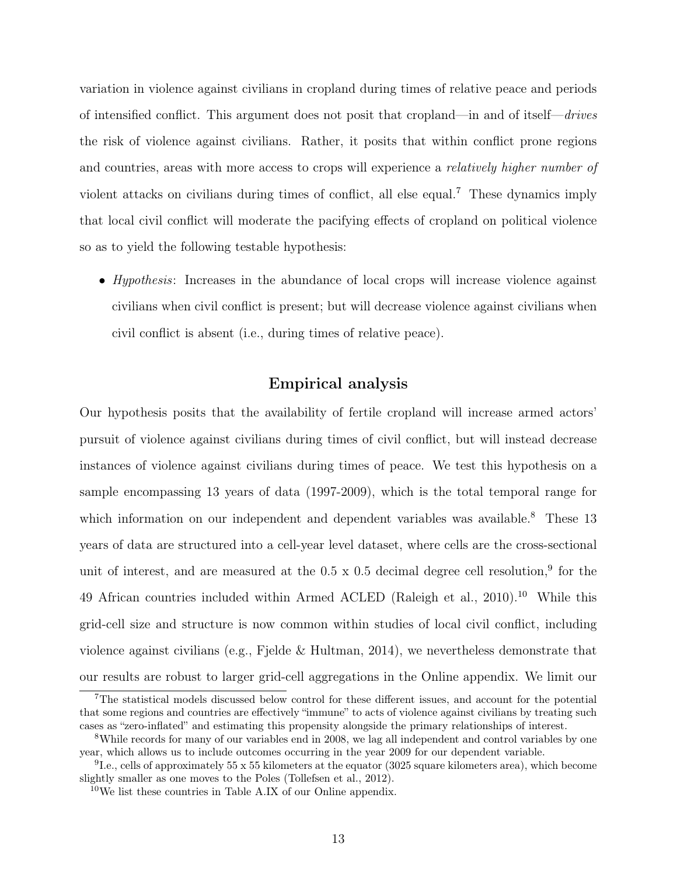variation in violence against civilians in cropland during times of relative peace and periods of intensified conflict. This argument does not posit that cropland—in and of itself—drives the risk of violence against civilians. Rather, it posits that within conflict prone regions and countries, areas with more access to crops will experience a *relatively higher number of* violent attacks on civilians during times of conflict, all else equal.<sup>7</sup> These dynamics imply that local civil conflict will moderate the pacifying effects of cropland on political violence so as to yield the following testable hypothesis:

• Hypothesis: Increases in the abundance of local crops will increase violence against civilians when civil conflict is present; but will decrease violence against civilians when civil conflict is absent (i.e., during times of relative peace).

### Empirical analysis

Our hypothesis posits that the availability of fertile cropland will increase armed actors' pursuit of violence against civilians during times of civil conflict, but will instead decrease instances of violence against civilians during times of peace. We test this hypothesis on a sample encompassing 13 years of data (1997-2009), which is the total temporal range for which information on our independent and dependent variables was available.<sup>8</sup> These 13 years of data are structured into a cell-year level dataset, where cells are the cross-sectional unit of interest, and are measured at the  $0.5 \times 0.5$  decimal degree cell resolution,<sup>9</sup> for the 49 African countries included within Armed ACLED (Raleigh et al., 2010).<sup>10</sup> While this grid-cell size and structure is now common within studies of local civil conflict, including violence against civilians (e.g., Fjelde & Hultman, 2014), we nevertheless demonstrate that our results are robust to larger grid-cell aggregations in the Online appendix. We limit our

<sup>7</sup>The statistical models discussed below control for these different issues, and account for the potential that some regions and countries are effectively "immune" to acts of violence against civilians by treating such cases as "zero-inflated" and estimating this propensity alongside the primary relationships of interest.

<sup>8</sup>While records for many of our variables end in 2008, we lag all independent and control variables by one year, which allows us to include outcomes occurring in the year 2009 for our dependent variable.

<sup>&</sup>lt;sup>9</sup>I.e., cells of approximately 55 x 55 kilometers at the equator (3025 square kilometers area), which become slightly smaller as one moves to the Poles (Tollefsen et al., 2012).

 $10$ We list these countries in Table A.IX of our Online appendix.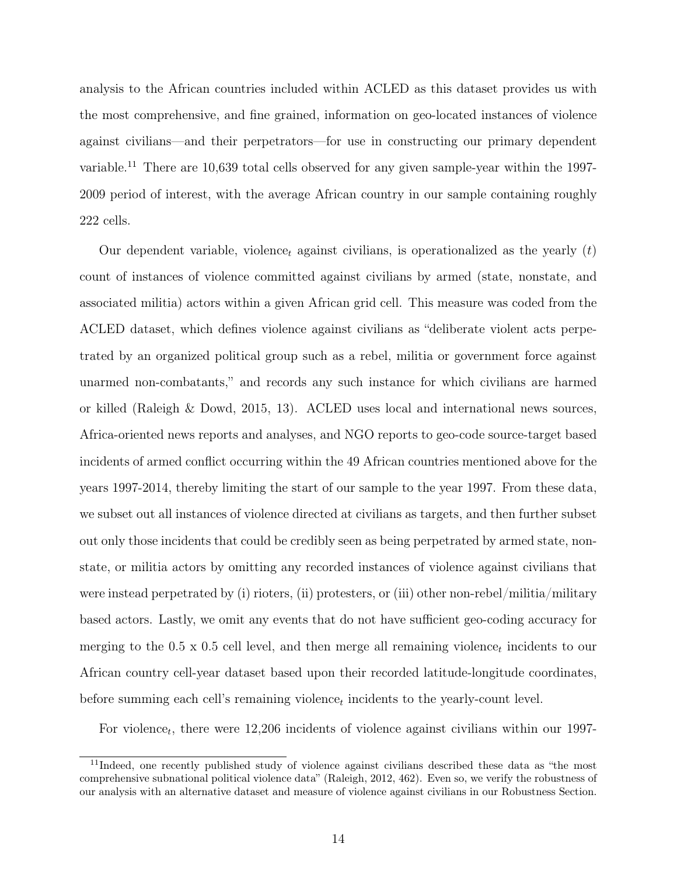analysis to the African countries included within ACLED as this dataset provides us with the most comprehensive, and fine grained, information on geo-located instances of violence against civilians—and their perpetrators—for use in constructing our primary dependent variable.<sup>11</sup> There are 10,639 total cells observed for any given sample-year within the 1997- 2009 period of interest, with the average African country in our sample containing roughly 222 cells.

Our dependent variable, violence<sub>t</sub> against civilians, is operationalized as the yearly  $(t)$ count of instances of violence committed against civilians by armed (state, nonstate, and associated militia) actors within a given African grid cell. This measure was coded from the ACLED dataset, which defines violence against civilians as "deliberate violent acts perpetrated by an organized political group such as a rebel, militia or government force against unarmed non-combatants," and records any such instance for which civilians are harmed or killed (Raleigh & Dowd, 2015, 13). ACLED uses local and international news sources, Africa-oriented news reports and analyses, and NGO reports to geo-code source-target based incidents of armed conflict occurring within the 49 African countries mentioned above for the years 1997-2014, thereby limiting the start of our sample to the year 1997. From these data, we subset out all instances of violence directed at civilians as targets, and then further subset out only those incidents that could be credibly seen as being perpetrated by armed state, nonstate, or militia actors by omitting any recorded instances of violence against civilians that were instead perpetrated by (i) rioters, (ii) protesters, or (iii) other non-rebel/militia/military based actors. Lastly, we omit any events that do not have sufficient geo-coding accuracy for merging to the 0.5 x 0.5 cell level, and then merge all remaining violence<sub>t</sub> incidents to our African country cell-year dataset based upon their recorded latitude-longitude coordinates, before summing each cell's remaining violence<sub>t</sub> incidents to the yearly-count level.

For violence<sub>t</sub>, there were  $12,206$  incidents of violence against civilians within our 1997-

<sup>&</sup>lt;sup>11</sup>Indeed, one recently published study of violence against civilians described these data as "the most comprehensive subnational political violence data" (Raleigh, 2012, 462). Even so, we verify the robustness of our analysis with an alternative dataset and measure of violence against civilians in our Robustness Section.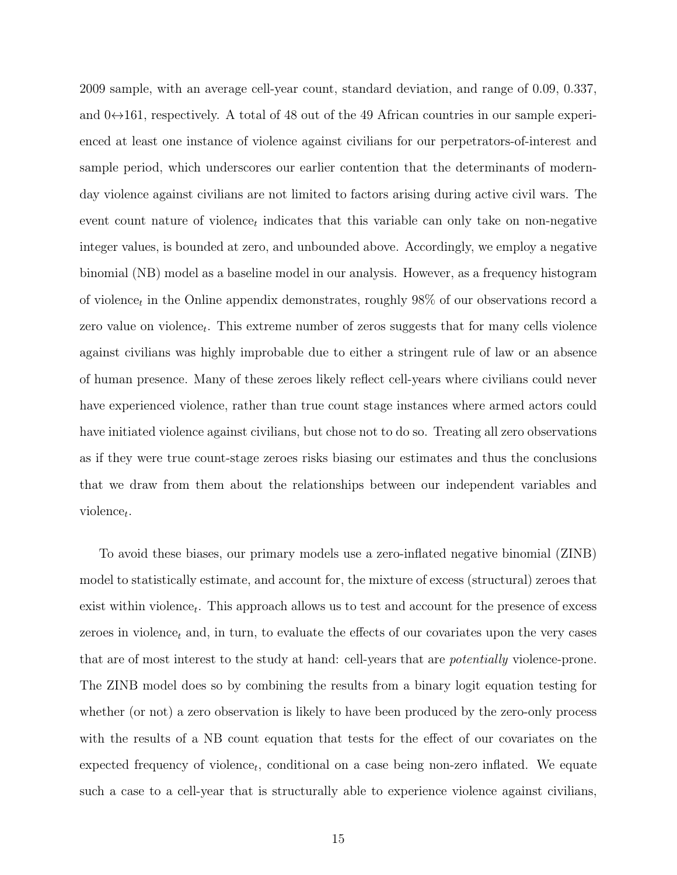2009 sample, with an average cell-year count, standard deviation, and range of 0.09, 0.337, and  $0 \leftrightarrow 161$ , respectively. A total of 48 out of the 49 African countries in our sample experienced at least one instance of violence against civilians for our perpetrators-of-interest and sample period, which underscores our earlier contention that the determinants of modernday violence against civilians are not limited to factors arising during active civil wars. The event count nature of violence<sub>t</sub> indicates that this variable can only take on non-negative integer values, is bounded at zero, and unbounded above. Accordingly, we employ a negative binomial (NB) model as a baseline model in our analysis. However, as a frequency histogram of violence<sub>t</sub> in the Online appendix demonstrates, roughly  $98\%$  of our observations record a zero value on violence<sub>t</sub>. This extreme number of zeros suggests that for many cells violence against civilians was highly improbable due to either a stringent rule of law or an absence of human presence. Many of these zeroes likely reflect cell-years where civilians could never have experienced violence, rather than true count stage instances where armed actors could have initiated violence against civilians, but chose not to do so. Treating all zero observations as if they were true count-stage zeroes risks biasing our estimates and thus the conclusions that we draw from them about the relationships between our independent variables and  $violence_t$ .

To avoid these biases, our primary models use a zero-inflated negative binomial (ZINB) model to statistically estimate, and account for, the mixture of excess (structural) zeroes that exist within violence<sub>t</sub>. This approach allows us to test and account for the presence of excess zeroes in violence<sub>t</sub> and, in turn, to evaluate the effects of our covariates upon the very cases that are of most interest to the study at hand: cell-years that are potentially violence-prone. The ZINB model does so by combining the results from a binary logit equation testing for whether (or not) a zero observation is likely to have been produced by the zero-only process with the results of a NB count equation that tests for the effect of our covariates on the  $expected frequency of violence<sub>t</sub>, conditional on a case being non-zero inflated. We equate$ such a case to a cell-year that is structurally able to experience violence against civilians,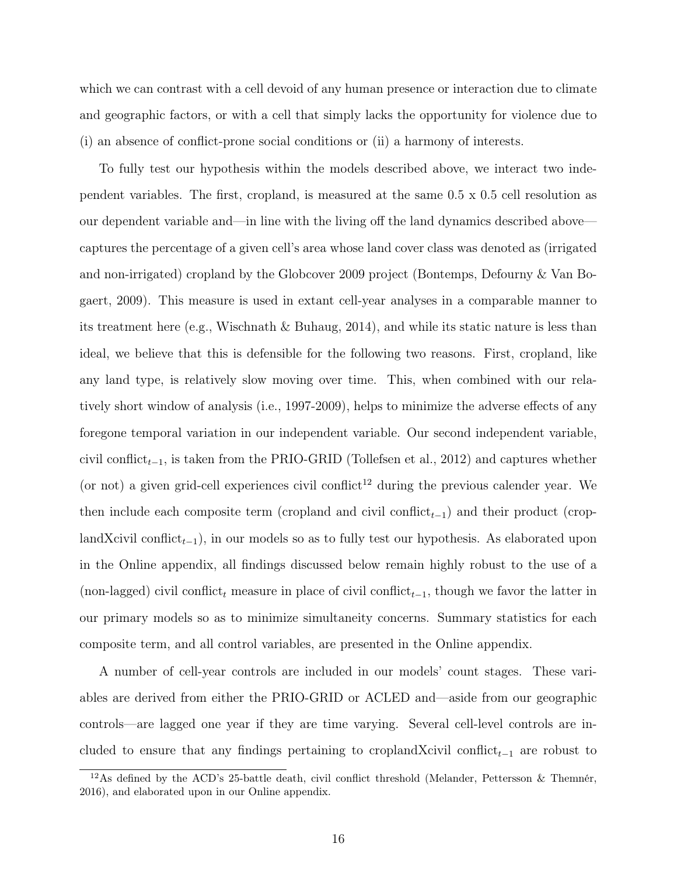which we can contrast with a cell devoid of any human presence or interaction due to climate and geographic factors, or with a cell that simply lacks the opportunity for violence due to (i) an absence of conflict-prone social conditions or (ii) a harmony of interests.

To fully test our hypothesis within the models described above, we interact two independent variables. The first, cropland, is measured at the same 0.5 x 0.5 cell resolution as our dependent variable and—in line with the living off the land dynamics described above captures the percentage of a given cell's area whose land cover class was denoted as (irrigated and non-irrigated) cropland by the Globcover 2009 project (Bontemps, Defourny & Van Bogaert, 2009). This measure is used in extant cell-year analyses in a comparable manner to its treatment here (e.g., Wischnath & Buhaug, 2014), and while its static nature is less than ideal, we believe that this is defensible for the following two reasons. First, cropland, like any land type, is relatively slow moving over time. This, when combined with our relatively short window of analysis (i.e., 1997-2009), helps to minimize the adverse effects of any foregone temporal variation in our independent variable. Our second independent variable, civil conflict<sub>t−1</sub>, is taken from the PRIO-GRID (Tollefsen et al., 2012) and captures whether (or not) a given grid-cell experiences civil conflict<sup>12</sup> during the previous calender year. We then include each composite term (cropland and civil conflict<sub>t-1</sub>) and their product (croplandXcivil conflict<sub>t−1</sub>), in our models so as to fully test our hypothesis. As elaborated upon in the Online appendix, all findings discussed below remain highly robust to the use of a (non-lagged) civil conflict<sub>t</sub> measure in place of civil conflict<sub>t−1</sub>, though we favor the latter in our primary models so as to minimize simultaneity concerns. Summary statistics for each composite term, and all control variables, are presented in the Online appendix.

A number of cell-year controls are included in our models' count stages. These variables are derived from either the PRIO-GRID or ACLED and—aside from our geographic controls—are lagged one year if they are time varying. Several cell-level controls are included to ensure that any findings pertaining to croplandXcivil conflict<sub>t−1</sub> are robust to

<sup>&</sup>lt;sup>12</sup>As defined by the ACD's 25-battle death, civil conflict threshold (Melander, Pettersson & Themnér, 2016), and elaborated upon in our Online appendix.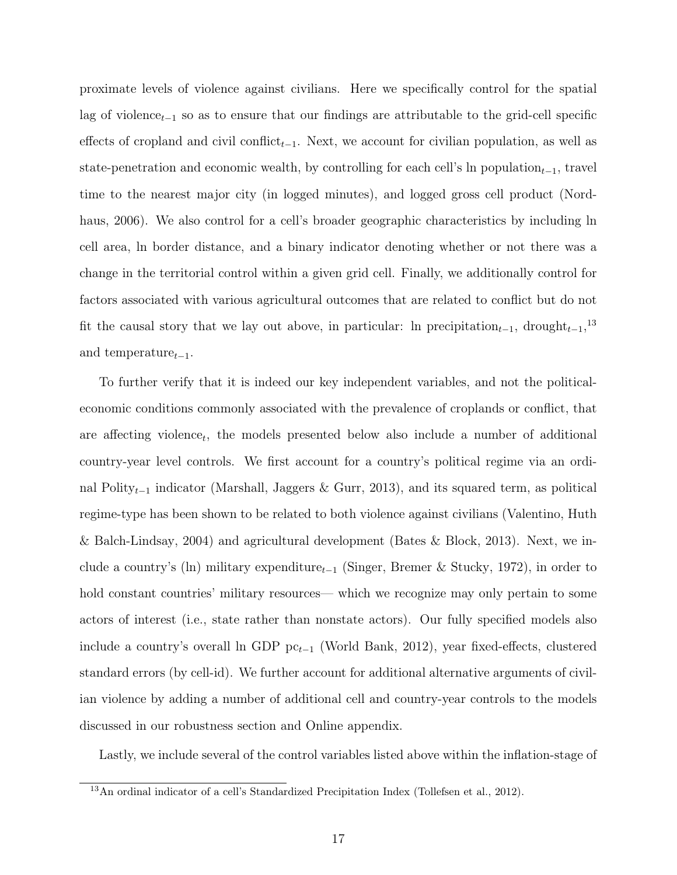proximate levels of violence against civilians. Here we specifically control for the spatial lag of violence<sub>t−1</sub> so as to ensure that our findings are attributable to the grid-cell specific effects of cropland and civil conflict<sub>t−1</sub>. Next, we account for civilian population, as well as state-penetration and economic wealth, by controlling for each cell's ln population<sub>t−1</sub>, travel time to the nearest major city (in logged minutes), and logged gross cell product (Nordhaus, 2006). We also control for a cell's broader geographic characteristics by including ln cell area, ln border distance, and a binary indicator denoting whether or not there was a change in the territorial control within a given grid cell. Finally, we additionally control for factors associated with various agricultural outcomes that are related to conflict but do not fit the causal story that we lay out above, in particular: ln precipitation<sub>t−1</sub>, drought<sub>t−1</sub>,<sup>13</sup> and temperature $_{t-1}$ .

To further verify that it is indeed our key independent variables, and not the politicaleconomic conditions commonly associated with the prevalence of croplands or conflict, that are affecting violence, the models presented below also include a number of additional country-year level controls. We first account for a country's political regime via an ordinal Polityt−<sup>1</sup> indicator (Marshall, Jaggers & Gurr, 2013), and its squared term, as political regime-type has been shown to be related to both violence against civilians (Valentino, Huth & Balch-Lindsay, 2004) and agricultural development (Bates & Block, 2013). Next, we include a country's (ln) military expenditure<sub>t−1</sub> (Singer, Bremer & Stucky, 1972), in order to hold constant countries' military resources— which we recognize may only pertain to some actors of interest (i.e., state rather than nonstate actors). Our fully specified models also include a country's overall ln GDP  $pc_{t-1}$  (World Bank, 2012), year fixed-effects, clustered standard errors (by cell-id). We further account for additional alternative arguments of civilian violence by adding a number of additional cell and country-year controls to the models discussed in our robustness section and Online appendix.

Lastly, we include several of the control variables listed above within the inflation-stage of

 $\frac{13}{13}$ An ordinal indicator of a cell's Standardized Precipitation Index (Tollefsen et al., 2012).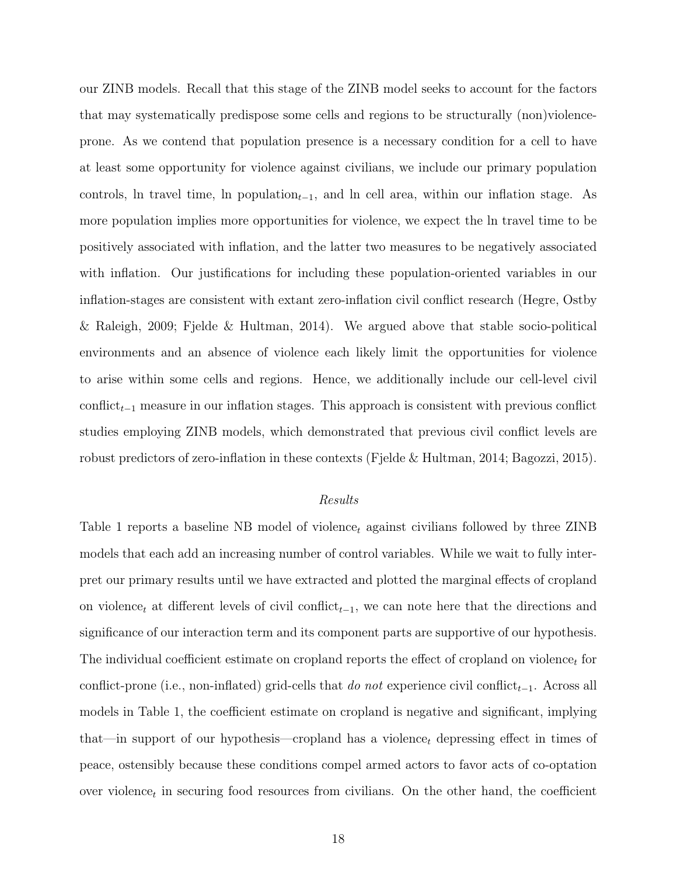our ZINB models. Recall that this stage of the ZINB model seeks to account for the factors that may systematically predispose some cells and regions to be structurally (non)violenceprone. As we contend that population presence is a necessary condition for a cell to have at least some opportunity for violence against civilians, we include our primary population controls, ln travel time, ln population<sub>t−1</sub>, and ln cell area, within our inflation stage. As more population implies more opportunities for violence, we expect the ln travel time to be positively associated with inflation, and the latter two measures to be negatively associated with inflation. Our justifications for including these population-oriented variables in our inflation-stages are consistent with extant zero-inflation civil conflict research (Hegre, Ostby & Raleigh, 2009; Fjelde & Hultman, 2014). We argued above that stable socio-political environments and an absence of violence each likely limit the opportunities for violence to arise within some cells and regions. Hence, we additionally include our cell-level civil conflict<sub>t−1</sub> measure in our inflation stages. This approach is consistent with previous conflict studies employing ZINB models, which demonstrated that previous civil conflict levels are robust predictors of zero-inflation in these contexts (Fjelde & Hultman, 2014; Bagozzi, 2015).

#### Results

Table 1 reports a baseline NB model of violence<sub>t</sub> against civilians followed by three ZINB models that each add an increasing number of control variables. While we wait to fully interpret our primary results until we have extracted and plotted the marginal effects of cropland on violence<sub>t</sub> at different levels of civil conflict<sub>t−1</sub>, we can note here that the directions and significance of our interaction term and its component parts are supportive of our hypothesis. The individual coefficient estimate on cropland reports the effect of cropland on violence<sub>t</sub> for conflict-prone (i.e., non-inflated) grid-cells that do not experience civil conflict<sub>t−1</sub>. Across all models in Table 1, the coefficient estimate on cropland is negative and significant, implying that—in support of our hypothesis—cropland has a violence<sub>t</sub> depressing effect in times of peace, ostensibly because these conditions compel armed actors to favor acts of co-optation over violence<sub>t</sub> in securing food resources from civilians. On the other hand, the coefficient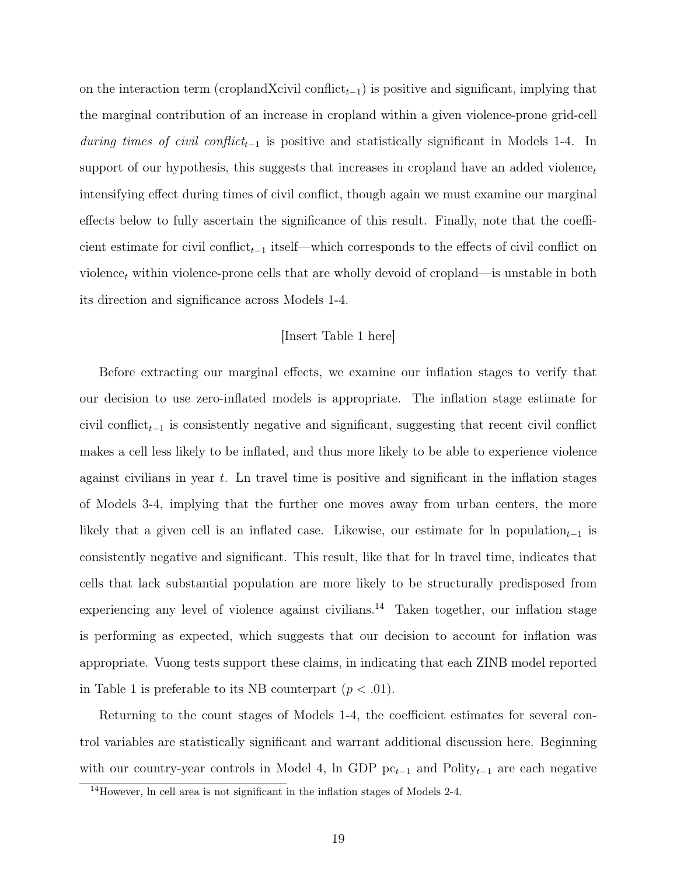on the interaction term (croplandXcivil conflict<sub>t-1</sub>) is positive and significant, implying that the marginal contribution of an increase in cropland within a given violence-prone grid-cell during times of civil conflict<sub>t−1</sub> is positive and statistically significant in Models 1-4. In support of our hypothesis, this suggests that increases in cropland have an added violence<sub>t</sub> intensifying effect during times of civil conflict, though again we must examine our marginal effects below to fully ascertain the significance of this result. Finally, note that the coefficient estimate for civil conflict<sub>t−1</sub> itself—which corresponds to the effects of civil conflict on violence<sub>t</sub> within violence-prone cells that are wholly devoid of cropland—is unstable in both its direction and significance across Models 1-4.

#### [Insert Table 1 here]

Before extracting our marginal effects, we examine our inflation stages to verify that our decision to use zero-inflated models is appropriate. The inflation stage estimate for civil conflict<sub>t−1</sub> is consistently negative and significant, suggesting that recent civil conflict makes a cell less likely to be inflated, and thus more likely to be able to experience violence against civilians in year  $t$ . Ln travel time is positive and significant in the inflation stages of Models 3-4, implying that the further one moves away from urban centers, the more likely that a given cell is an inflated case. Likewise, our estimate for ln population<sub>t−1</sub> is consistently negative and significant. This result, like that for ln travel time, indicates that cells that lack substantial population are more likely to be structurally predisposed from experiencing any level of violence against civilians.<sup>14</sup> Taken together, our inflation stage is performing as expected, which suggests that our decision to account for inflation was appropriate. Vuong tests support these claims, in indicating that each ZINB model reported in Table 1 is preferable to its NB counterpart  $(p < .01)$ .

Returning to the count stages of Models 1-4, the coefficient estimates for several control variables are statistically significant and warrant additional discussion here. Beginning with our country-year controls in Model 4, ln GDP  $pc_{t-1}$  and Polity<sub>t-1</sub> are each negative

<sup>14</sup>However, ln cell area is not significant in the inflation stages of Models 2-4.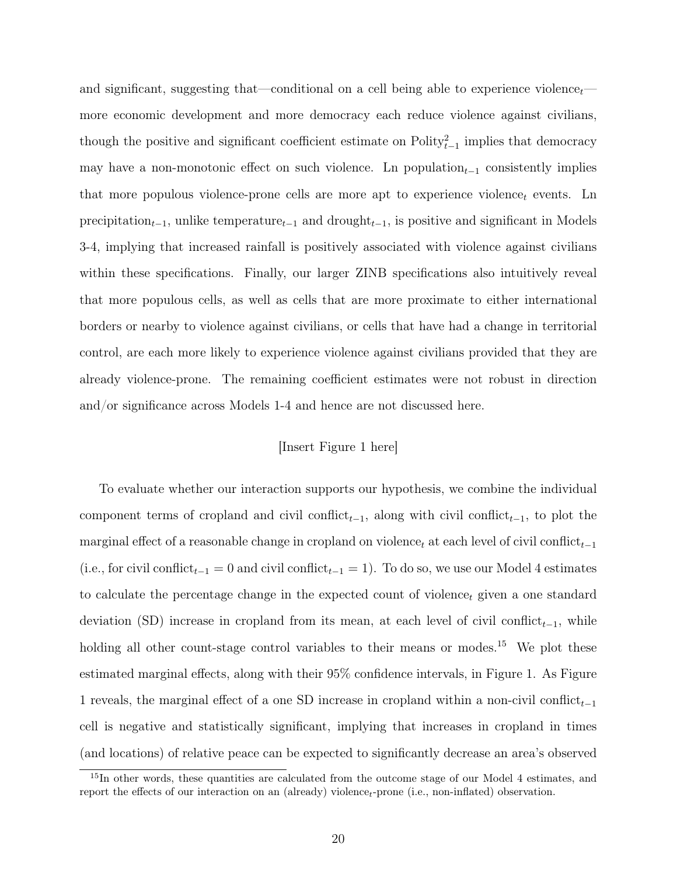and significant, suggesting that—conditional on a cell being able to experience violence<sub>t—</sub> more economic development and more democracy each reduce violence against civilians, though the positive and significant coefficient estimate on  $\text{Poly}_{t-1}^2$  implies that democracy may have a non-monotonic effect on such violence. Ln population<sub>t−1</sub> consistently implies that more populous violence-prone cells are more apt to experience violence<sub>t</sub> events. Ln  $precription<sub>t-1</sub>, unlike temperature<sub>t-1</sub> and drought<sub>t-1</sub>, is positive and significant in Models$ 3-4, implying that increased rainfall is positively associated with violence against civilians within these specifications. Finally, our larger ZINB specifications also intuitively reveal that more populous cells, as well as cells that are more proximate to either international borders or nearby to violence against civilians, or cells that have had a change in territorial control, are each more likely to experience violence against civilians provided that they are already violence-prone. The remaining coefficient estimates were not robust in direction and/or significance across Models 1-4 and hence are not discussed here.

#### [Insert Figure 1 here]

To evaluate whether our interaction supports our hypothesis, we combine the individual component terms of cropland and civil conflict<sub>t−1</sub>, along with civil conflict<sub>t−1</sub>, to plot the marginal effect of a reasonable change in cropland on violence<sub>t</sub> at each level of civil conflict<sub>t−1</sub> (i.e., for civil conflict<sub>t−1</sub> = 0 and civil conflict<sub>t−1</sub> = 1). To do so, we use our Model 4 estimates to calculate the percentage change in the expected count of violence<sub>t</sub> given a one standard deviation (SD) increase in cropland from its mean, at each level of civil conflict<sub>t−1</sub>, while holding all other count-stage control variables to their means or modes.<sup>15</sup> We plot these estimated marginal effects, along with their 95% confidence intervals, in Figure 1. As Figure 1 reveals, the marginal effect of a one SD increase in cropland within a non-civil conflict<sub>t-1</sub> cell is negative and statistically significant, implying that increases in cropland in times (and locations) of relative peace can be expected to significantly decrease an area's observed

<sup>&</sup>lt;sup>15</sup>In other words, these quantities are calculated from the outcome stage of our Model 4 estimates, and report the effects of our interaction on an (already) violence<sub>t-prone</sub> (i.e., non-inflated) observation.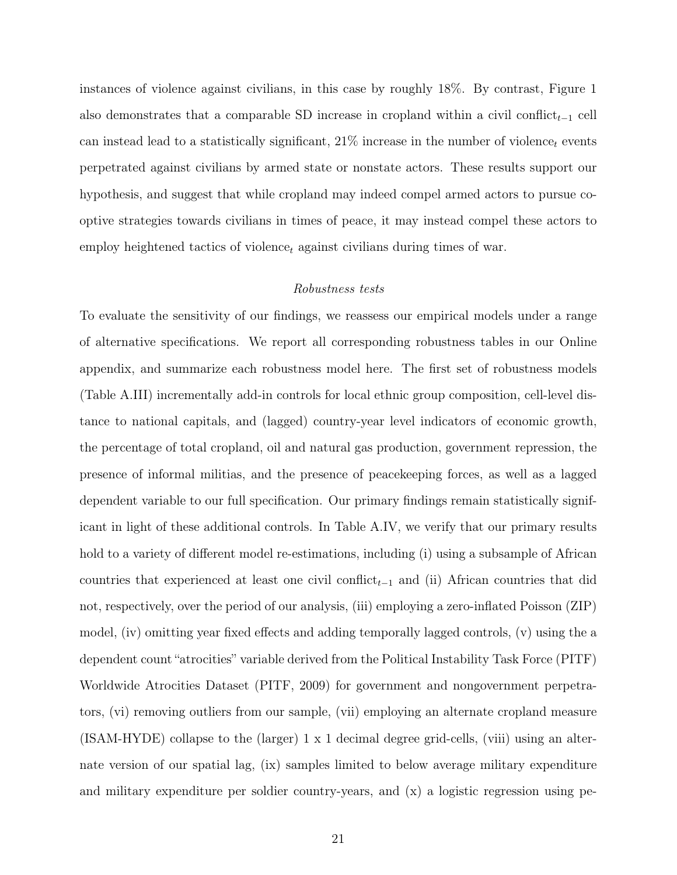instances of violence against civilians, in this case by roughly 18%. By contrast, Figure 1 also demonstrates that a comparable SD increase in cropland within a civil conflict<sub>t-1</sub> cell can instead lead to a statistically significant,  $21\%$  increase in the number of violence<sub>t</sub> events perpetrated against civilians by armed state or nonstate actors. These results support our hypothesis, and suggest that while cropland may indeed compel armed actors to pursue cooptive strategies towards civilians in times of peace, it may instead compel these actors to employ heightened tactics of violence<sub>t</sub> against civilians during times of war.

#### Robustness tests

To evaluate the sensitivity of our findings, we reassess our empirical models under a range of alternative specifications. We report all corresponding robustness tables in our Online appendix, and summarize each robustness model here. The first set of robustness models (Table A.III) incrementally add-in controls for local ethnic group composition, cell-level distance to national capitals, and (lagged) country-year level indicators of economic growth, the percentage of total cropland, oil and natural gas production, government repression, the presence of informal militias, and the presence of peacekeeping forces, as well as a lagged dependent variable to our full specification. Our primary findings remain statistically significant in light of these additional controls. In Table A.IV, we verify that our primary results hold to a variety of different model re-estimations, including (i) using a subsample of African countries that experienced at least one civil conflict<sub>t−1</sub> and (ii) African countries that did not, respectively, over the period of our analysis, (iii) employing a zero-inflated Poisson (ZIP) model, (iv) omitting year fixed effects and adding temporally lagged controls, (v) using the a dependent count "atrocities" variable derived from the Political Instability Task Force (PITF) Worldwide Atrocities Dataset (PITF, 2009) for government and nongovernment perpetrators, (vi) removing outliers from our sample, (vii) employing an alternate cropland measure (ISAM-HYDE) collapse to the (larger) 1 x 1 decimal degree grid-cells, (viii) using an alternate version of our spatial lag, (ix) samples limited to below average military expenditure and military expenditure per soldier country-years, and  $(x)$  a logistic regression using pe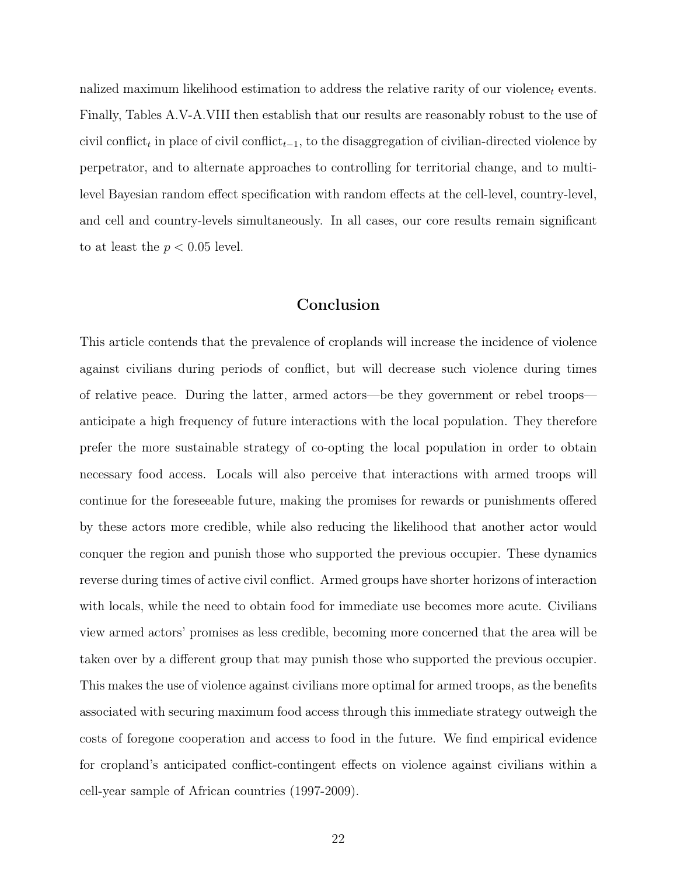nalized maximum likelihood estimation to address the relative rarity of our violence<sub>t</sub> events. Finally, Tables A.V-A.VIII then establish that our results are reasonably robust to the use of civil conflict<sub>t</sub> in place of civil conflict<sub>t-1</sub>, to the disaggregation of civilian-directed violence by perpetrator, and to alternate approaches to controlling for territorial change, and to multilevel Bayesian random effect specification with random effects at the cell-level, country-level, and cell and country-levels simultaneously. In all cases, our core results remain significant to at least the  $p < 0.05$  level.

## Conclusion

This article contends that the prevalence of croplands will increase the incidence of violence against civilians during periods of conflict, but will decrease such violence during times of relative peace. During the latter, armed actors—be they government or rebel troops anticipate a high frequency of future interactions with the local population. They therefore prefer the more sustainable strategy of co-opting the local population in order to obtain necessary food access. Locals will also perceive that interactions with armed troops will continue for the foreseeable future, making the promises for rewards or punishments offered by these actors more credible, while also reducing the likelihood that another actor would conquer the region and punish those who supported the previous occupier. These dynamics reverse during times of active civil conflict. Armed groups have shorter horizons of interaction with locals, while the need to obtain food for immediate use becomes more acute. Civilians view armed actors' promises as less credible, becoming more concerned that the area will be taken over by a different group that may punish those who supported the previous occupier. This makes the use of violence against civilians more optimal for armed troops, as the benefits associated with securing maximum food access through this immediate strategy outweigh the costs of foregone cooperation and access to food in the future. We find empirical evidence for cropland's anticipated conflict-contingent effects on violence against civilians within a cell-year sample of African countries (1997-2009).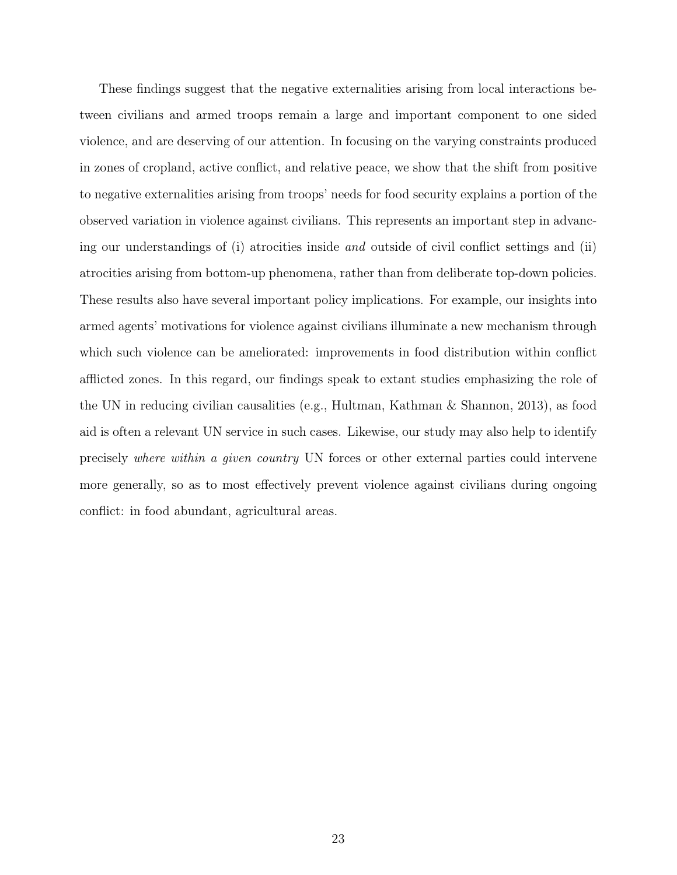These findings suggest that the negative externalities arising from local interactions between civilians and armed troops remain a large and important component to one sided violence, and are deserving of our attention. In focusing on the varying constraints produced in zones of cropland, active conflict, and relative peace, we show that the shift from positive to negative externalities arising from troops' needs for food security explains a portion of the observed variation in violence against civilians. This represents an important step in advancing our understandings of (i) atrocities inside and outside of civil conflict settings and (ii) atrocities arising from bottom-up phenomena, rather than from deliberate top-down policies. These results also have several important policy implications. For example, our insights into armed agents' motivations for violence against civilians illuminate a new mechanism through which such violence can be ameliorated: improvements in food distribution within conflict afflicted zones. In this regard, our findings speak to extant studies emphasizing the role of the UN in reducing civilian causalities (e.g., Hultman, Kathman & Shannon, 2013), as food aid is often a relevant UN service in such cases. Likewise, our study may also help to identify precisely where within a given country UN forces or other external parties could intervene more generally, so as to most effectively prevent violence against civilians during ongoing conflict: in food abundant, agricultural areas.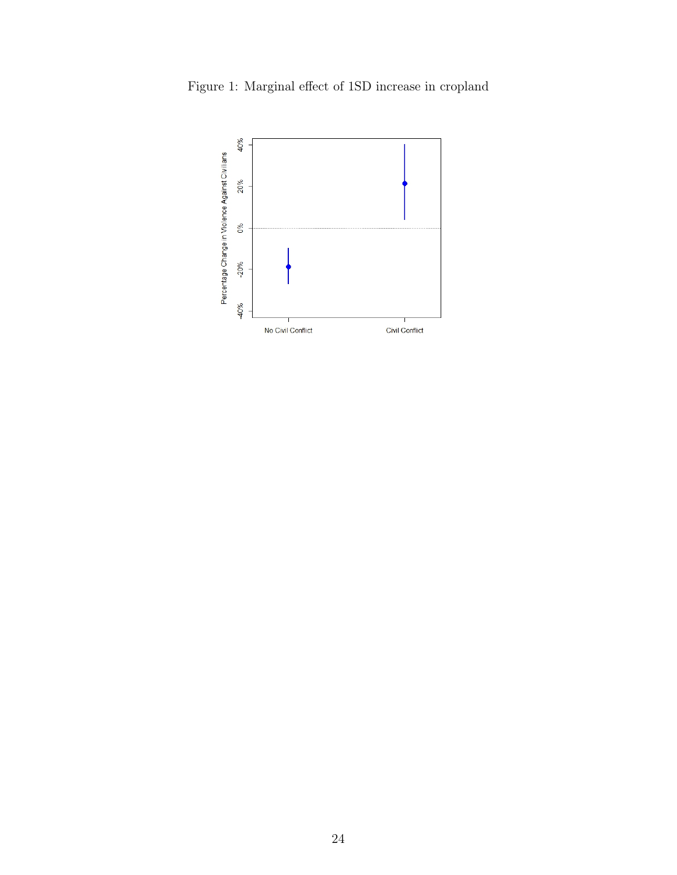

Figure 1: Marginal effect of 1SD increase in cropland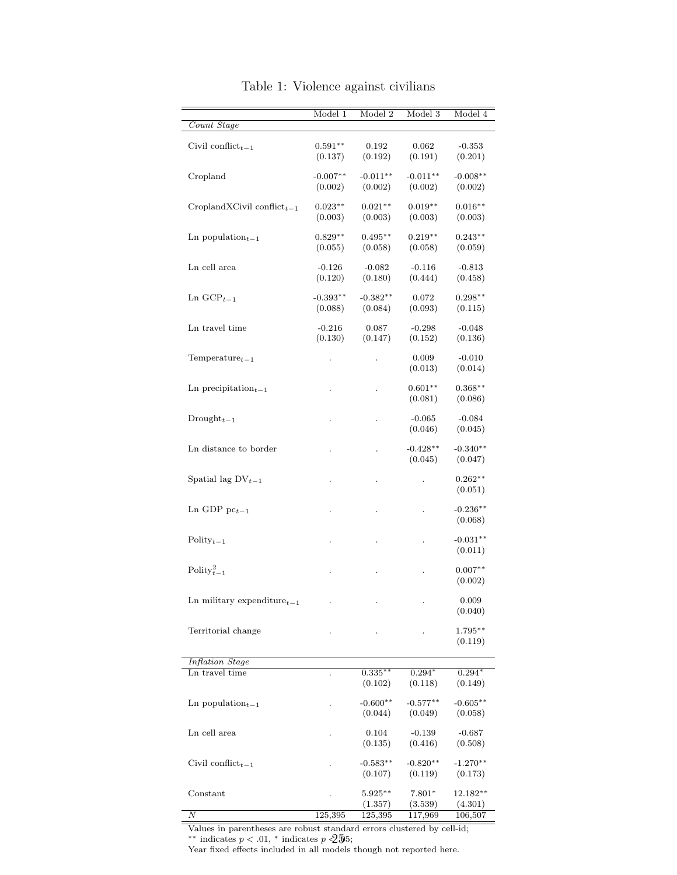|                                            | Model 1               | Model 2               | Model 3               | Model 4               |
|--------------------------------------------|-----------------------|-----------------------|-----------------------|-----------------------|
| Count Stage                                |                       |                       |                       |                       |
| Civil conflict <sub><math>t-1</math></sub> | $0.591**$<br>(0.137)  | 0.192<br>(0.192)      | 0.062<br>(0.191)      | $-0.353$<br>(0.201)   |
| Cropland                                   | $-0.007**$<br>(0.002) | $-0.011**$<br>(0.002) | $-0.011**$<br>(0.002) | $-0.008**$<br>(0.002) |
| CroplandXCivil conflict <sub>t-1</sub>     | $0.023**$<br>(0.003)  | $0.021**$<br>(0.003)  | $0.019**$<br>(0.003)  | $0.016**$<br>(0.003)  |
| Ln population $_{t-1}$                     | $0.829**$<br>(0.055)  | $0.495**$<br>(0.058)  | $0.219**$<br>(0.058)  | $0.243**$<br>(0.059)  |
| Ln cell area                               | $-0.126$<br>(0.120)   | $-0.082$<br>(0.180)   | $-0.116$<br>(0.444)   | $-0.813$<br>(0.458)   |
| Ln $\text{GCP}_{t-1}$                      | $-0.393**$<br>(0.088) | $-0.382**$<br>(0.084) | 0.072<br>(0.093)      | $0.298**$<br>(0.115)  |
| Ln travel time                             | $-0.216$<br>(0.130)   | 0.087<br>(0.147)      | $-0.298$<br>(0.152)   | $-0.048$<br>(0.136)   |
| Temperature $_{t-1}$                       |                       |                       | 0.009<br>(0.013)      | $-0.010$<br>(0.014)   |
| Ln precipitation $_{t-1}$                  |                       |                       | $0.601**$<br>(0.081)  | $0.368**$<br>(0.086)  |
| $Drought_{t-1}$                            |                       |                       | $-0.065$<br>(0.046)   | $-0.084$<br>(0.045)   |
| Ln distance to border                      |                       |                       | $-0.428**$<br>(0.045) | $-0.340**$<br>(0.047) |
| Spatial lag $DV_{t-1}$                     |                       |                       |                       | $0.262**$<br>(0.051)  |
| Ln GDP $pc_{t-1}$                          |                       |                       |                       | $-0.236**$<br>(0.068) |
| $\text{Poly}_{t-1}$                        |                       |                       |                       | $-0.031**$<br>(0.011) |
| Polity $t_{t-1}^2$                         |                       |                       |                       | $0.007**$<br>(0.002)  |
| Ln military expenditure $_{t-1}$           |                       |                       |                       | $0.009\,$<br>(0.040)  |
| Territorial change                         |                       |                       |                       | $1.795***$<br>(0.119) |
| Inflation Stage                            |                       |                       |                       |                       |
| Ln travel time                             |                       | $0.335***$<br>(0.102) | $0.294*$<br>(0.118)   | $0.294*$<br>(0.149)   |
| Ln population $_{t-1}$                     |                       | $-0.600**$<br>(0.044) | $-0.577**$<br>(0.049) | $-0.605**$<br>(0.058) |
| Ln cell area                               |                       | 0.104<br>(0.135)      | $-0.139$<br>(0.416)   | $-0.687$<br>(0.508)   |
| Civil conflict <sub>t-1</sub>              |                       | $-0.583**$<br>(0.107) | $-0.820**$<br>(0.119) | $-1.270**$<br>(0.173) |
| Constant                                   |                       | $5.925***$<br>(1.357) | $7.801*$<br>(3.539)   | $12.182**$<br>(4.301) |
| Ν                                          | 125,395               | 125,395               | 117,969               | 106,507               |

Table 1: Violence against civilians

Values in parentheses are robust standard errors clustered by cell-id; <sup>\*\*</sup> indicates  $p < .01$ , <sup>\*</sup> indicates  $p \triangleleft 255$ ; \*\* indicates  $p < .01$ , \* indicates  $p \triangleleft 595$ ;<br>Year fixed effects included in all models though not reported here.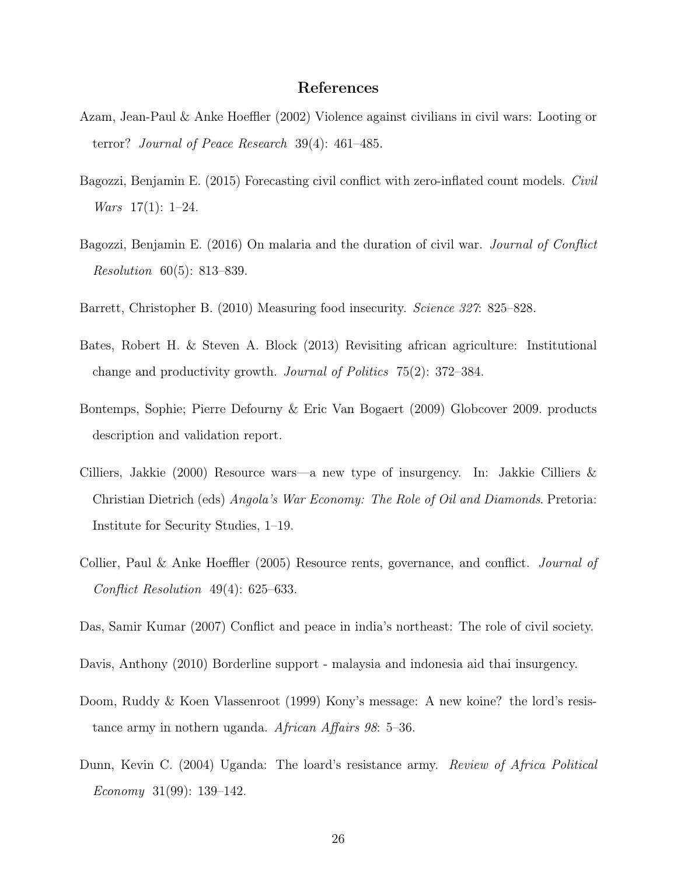### References

- Azam, Jean-Paul & Anke Hoeffler (2002) Violence against civilians in civil wars: Looting or terror? Journal of Peace Research 39(4): 461–485.
- Bagozzi, Benjamin E. (2015) Forecasting civil conflict with zero-inflated count models. Civil *Wars*  $17(1)$ : 1-24.
- Bagozzi, Benjamin E. (2016) On malaria and the duration of civil war. Journal of Conflict Resolution 60(5): 813–839.
- Barrett, Christopher B. (2010) Measuring food insecurity. Science 327: 825–828.
- Bates, Robert H. & Steven A. Block (2013) Revisiting african agriculture: Institutional change and productivity growth. Journal of Politics 75(2): 372–384.
- Bontemps, Sophie; Pierre Defourny & Eric Van Bogaert (2009) Globcover 2009. products description and validation report.
- Cilliers, Jakkie (2000) Resource wars—a new type of insurgency. In: Jakkie Cilliers & Christian Dietrich (eds) Angola's War Economy: The Role of Oil and Diamonds. Pretoria: Institute for Security Studies, 1–19.
- Collier, Paul & Anke Hoeffler (2005) Resource rents, governance, and conflict. *Journal of* Conflict Resolution 49(4): 625–633.

Das, Samir Kumar (2007) Conflict and peace in india's northeast: The role of civil society.

- Davis, Anthony (2010) Borderline support malaysia and indonesia aid thai insurgency.
- Doom, Ruddy & Koen Vlassenroot (1999) Kony's message: A new koine? the lord's resistance army in nothern uganda. African Affairs 98: 5–36.
- Dunn, Kevin C. (2004) Uganda: The loard's resistance army. Review of Africa Political Economy 31(99): 139–142.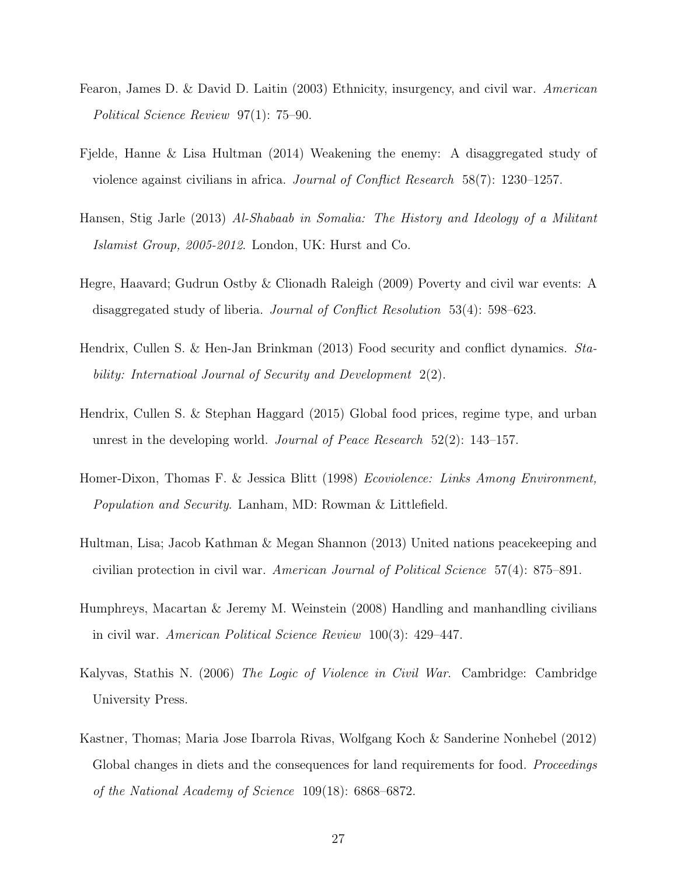- Fearon, James D. & David D. Laitin (2003) Ethnicity, insurgency, and civil war. American Political Science Review 97(1): 75–90.
- Fjelde, Hanne & Lisa Hultman (2014) Weakening the enemy: A disaggregated study of violence against civilians in africa. Journal of Conflict Research 58(7): 1230–1257.
- Hansen, Stig Jarle (2013) Al-Shabaab in Somalia: The History and Ideology of a Militant Islamist Group, 2005-2012. London, UK: Hurst and Co.
- Hegre, Haavard; Gudrun Ostby & Clionadh Raleigh (2009) Poverty and civil war events: A disaggregated study of liberia. Journal of Conflict Resolution 53(4): 598–623.
- Hendrix, Cullen S. & Hen-Jan Brinkman (2013) Food security and conflict dynamics. Stability: Internatioal Journal of Security and Development 2(2).
- Hendrix, Cullen S. & Stephan Haggard (2015) Global food prices, regime type, and urban unrest in the developing world. Journal of Peace Research 52(2): 143–157.
- Homer-Dixon, Thomas F. & Jessica Blitt (1998) Ecoviolence: Links Among Environment, Population and Security. Lanham, MD: Rowman & Littlefield.
- Hultman, Lisa; Jacob Kathman & Megan Shannon (2013) United nations peacekeeping and civilian protection in civil war. American Journal of Political Science 57(4): 875–891.
- Humphreys, Macartan & Jeremy M. Weinstein (2008) Handling and manhandling civilians in civil war. American Political Science Review 100(3): 429–447.
- Kalyvas, Stathis N. (2006) The Logic of Violence in Civil War. Cambridge: Cambridge University Press.
- Kastner, Thomas; Maria Jose Ibarrola Rivas, Wolfgang Koch & Sanderine Nonhebel (2012) Global changes in diets and the consequences for land requirements for food. *Proceedings* of the National Academy of Science 109(18): 6868–6872.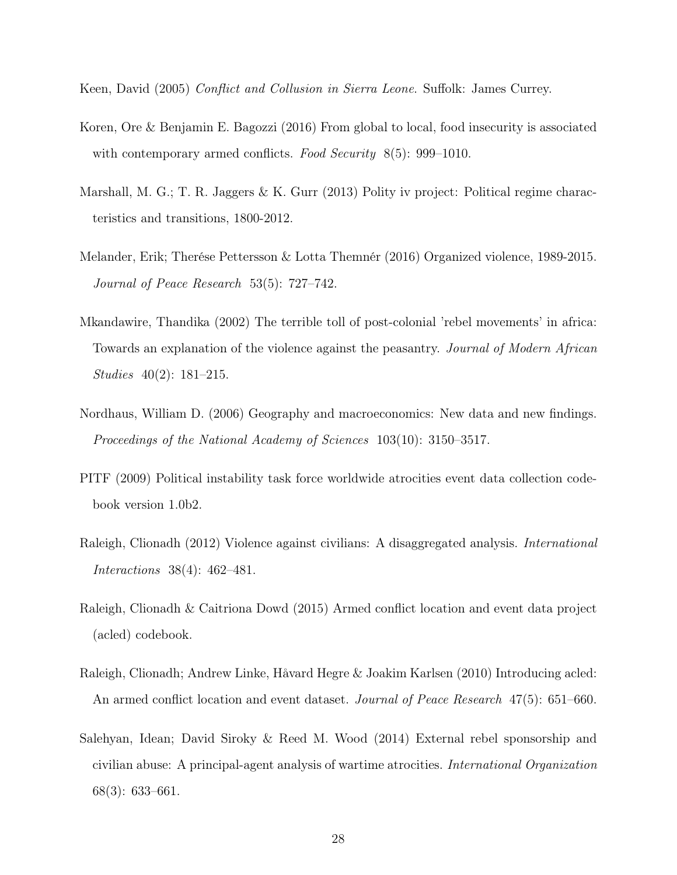Keen, David (2005) Conflict and Collusion in Sierra Leone. Suffolk: James Currey.

- Koren, Ore & Benjamin E. Bagozzi (2016) From global to local, food insecurity is associated with contemporary armed conflicts. Food Security 8(5): 999–1010.
- Marshall, M. G.; T. R. Jaggers & K. Gurr (2013) Polity iv project: Political regime characteristics and transitions, 1800-2012.
- Melander, Erik; Therése Pettersson & Lotta Themnér (2016) Organized violence, 1989-2015. Journal of Peace Research 53(5): 727–742.
- Mkandawire, Thandika (2002) The terrible toll of post-colonial 'rebel movements' in africa: Towards an explanation of the violence against the peasantry. Journal of Modern African Studies 40(2): 181–215.
- Nordhaus, William D. (2006) Geography and macroeconomics: New data and new findings. Proceedings of the National Academy of Sciences 103(10): 3150–3517.
- PITF (2009) Political instability task force worldwide atrocities event data collection codebook version 1.0b2.
- Raleigh, Clionadh (2012) Violence against civilians: A disaggregated analysis. International Interactions 38(4): 462–481.
- Raleigh, Clionadh & Caitriona Dowd (2015) Armed conflict location and event data project (acled) codebook.
- Raleigh, Clionadh; Andrew Linke, Håvard Hegre & Joakim Karlsen (2010) Introducing acled: An armed conflict location and event dataset. *Journal of Peace Research* 47(5): 651–660.
- Salehyan, Idean; David Siroky & Reed M. Wood (2014) External rebel sponsorship and civilian abuse: A principal-agent analysis of wartime atrocities. International Organization 68(3): 633–661.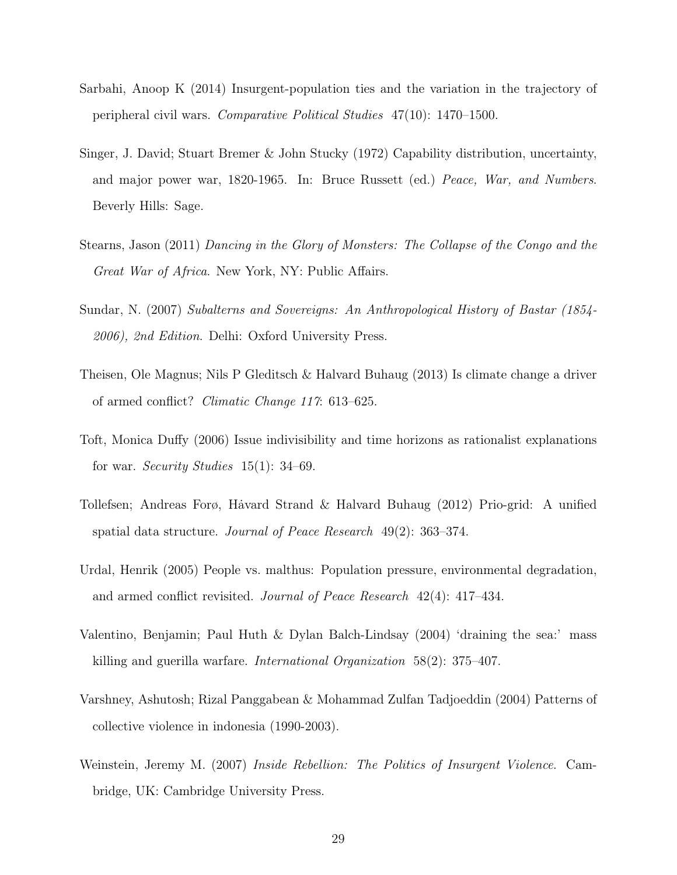- Sarbahi, Anoop K (2014) Insurgent-population ties and the variation in the trajectory of peripheral civil wars. Comparative Political Studies 47(10): 1470–1500.
- Singer, J. David; Stuart Bremer & John Stucky (1972) Capability distribution, uncertainty, and major power war, 1820-1965. In: Bruce Russett (ed.) Peace, War, and Numbers. Beverly Hills: Sage.
- Stearns, Jason (2011) Dancing in the Glory of Monsters: The Collapse of the Congo and the Great War of Africa. New York, NY: Public Affairs.
- Sundar, N. (2007) Subalterns and Sovereigns: An Anthropological History of Bastar (1854- 2006), 2nd Edition. Delhi: Oxford University Press.
- Theisen, Ole Magnus; Nils P Gleditsch & Halvard Buhaug (2013) Is climate change a driver of armed conflict? Climatic Change 117: 613–625.
- Toft, Monica Duffy (2006) Issue indivisibility and time horizons as rationalist explanations for war. Security Studies  $15(1)$ : 34–69.
- Tollefsen; Andreas Forø, Havard Strand & Halvard Buhaug (2012) Prio-grid: A unified spatial data structure. Journal of Peace Research 49(2): 363–374.
- Urdal, Henrik (2005) People vs. malthus: Population pressure, environmental degradation, and armed conflict revisited. Journal of Peace Research 42(4): 417–434.
- Valentino, Benjamin; Paul Huth & Dylan Balch-Lindsay (2004) 'draining the sea:' mass killing and guerilla warfare. International Organization 58(2): 375–407.
- Varshney, Ashutosh; Rizal Panggabean & Mohammad Zulfan Tadjoeddin (2004) Patterns of collective violence in indonesia (1990-2003).
- Weinstein, Jeremy M. (2007) Inside Rebellion: The Politics of Insurgent Violence. Cambridge, UK: Cambridge University Press.